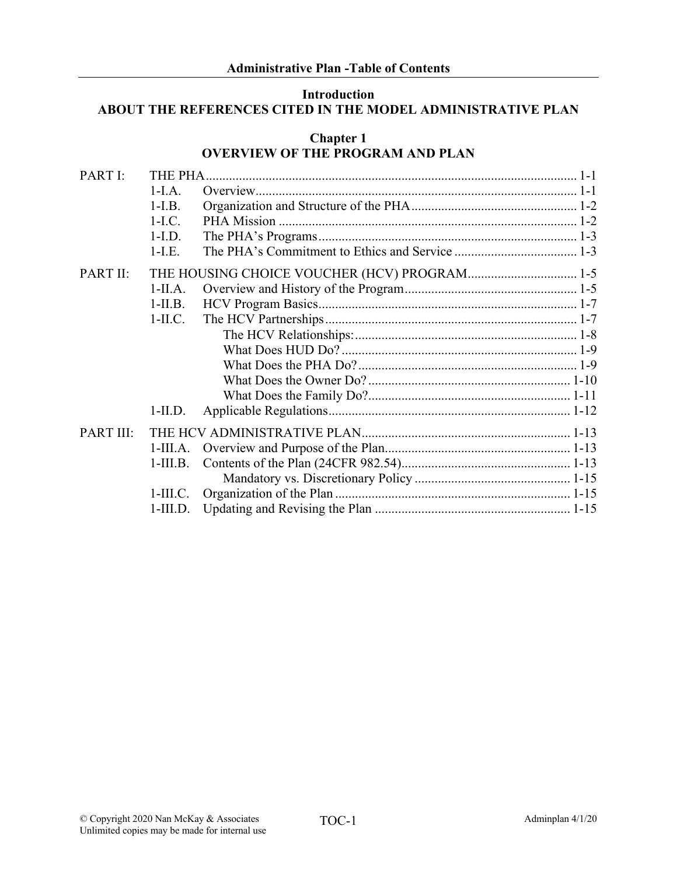### **Introduction ABOUT THE REFERENCES CITED IN THE MODEL ADMINISTRATIVE PLAN**

### **Chapter 1 OVERVIEW OF THE PROGRAM AND PLAN**

| PART I:   | THE PHA.   |                                              |  |  |
|-----------|------------|----------------------------------------------|--|--|
|           | $1-I.A.$   |                                              |  |  |
|           | $1-I.B.$   |                                              |  |  |
|           | $1-I.C.$   |                                              |  |  |
|           | $1-I.D.$   |                                              |  |  |
|           | $1-I.E.$   |                                              |  |  |
| PART II:  |            | THE HOUSING CHOICE VOUCHER (HCV) PROGRAM 1-5 |  |  |
|           | $1-IIA.$   |                                              |  |  |
|           | $1-II.B.$  |                                              |  |  |
|           | $1-II.C.$  |                                              |  |  |
|           |            |                                              |  |  |
|           |            |                                              |  |  |
|           |            |                                              |  |  |
|           |            |                                              |  |  |
|           |            |                                              |  |  |
|           | $1$ -II.D. |                                              |  |  |
| PART III: |            |                                              |  |  |
|           | $1-III.A.$ |                                              |  |  |
|           | $1-III.B.$ |                                              |  |  |
|           |            |                                              |  |  |
|           | $1-III.C.$ |                                              |  |  |
|           | $1-III.D.$ |                                              |  |  |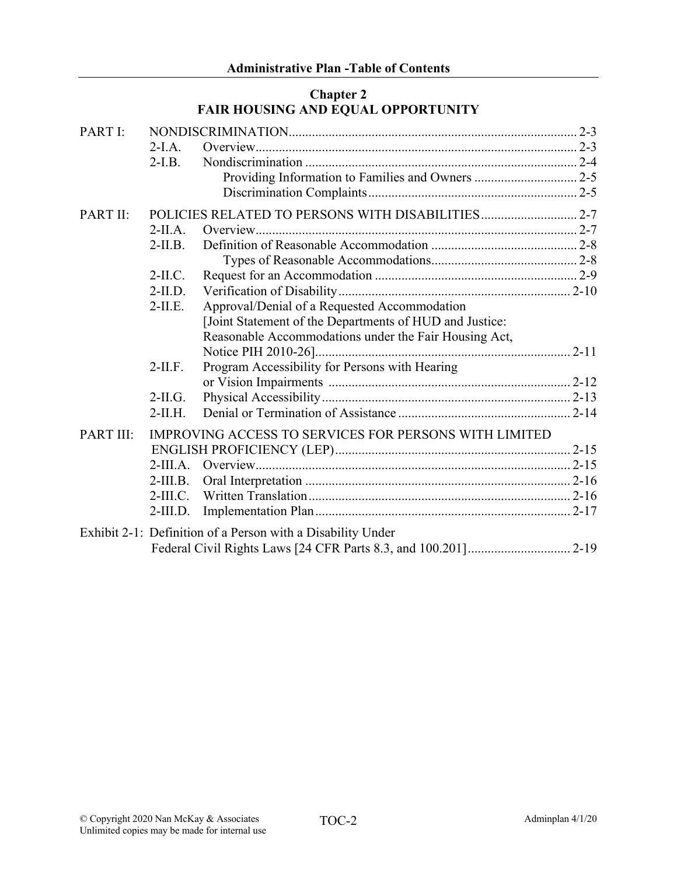## **Chapter 2 FAIR HOUSING AND EQUAL OPPORTUNITY**

| PART I:         |            |                                                              |  |
|-----------------|------------|--------------------------------------------------------------|--|
|                 | $2-I.A.$   |                                                              |  |
|                 | $2-I.B.$   |                                                              |  |
|                 |            |                                                              |  |
|                 |            |                                                              |  |
| <b>PART II:</b> |            |                                                              |  |
|                 | $2-IIA.$   |                                                              |  |
|                 | $2-II.B.$  |                                                              |  |
|                 |            |                                                              |  |
|                 | $2-II.C.$  |                                                              |  |
|                 | $2-II.D.$  |                                                              |  |
|                 | $2-II.E.$  | Approval/Denial of a Requested Accommodation                 |  |
|                 |            | [Joint Statement of the Departments of HUD and Justice:      |  |
|                 |            | Reasonable Accommodations under the Fair Housing Act,        |  |
|                 |            |                                                              |  |
|                 | $2-II.F.$  | Program Accessibility for Persons with Hearing               |  |
|                 |            |                                                              |  |
|                 | $2-II.G.$  |                                                              |  |
|                 | $2-II.H.$  |                                                              |  |
| PART III:       |            | <b>IMPROVING ACCESS TO SERVICES FOR PERSONS WITH LIMITED</b> |  |
|                 |            |                                                              |  |
|                 | $2-III.A.$ |                                                              |  |
|                 | $2-III.B.$ |                                                              |  |
|                 | $2-III.C.$ |                                                              |  |
|                 | $2-III.D.$ |                                                              |  |
|                 |            | Exhibit 2-1: Definition of a Person with a Disability Under  |  |
|                 |            |                                                              |  |
|                 |            |                                                              |  |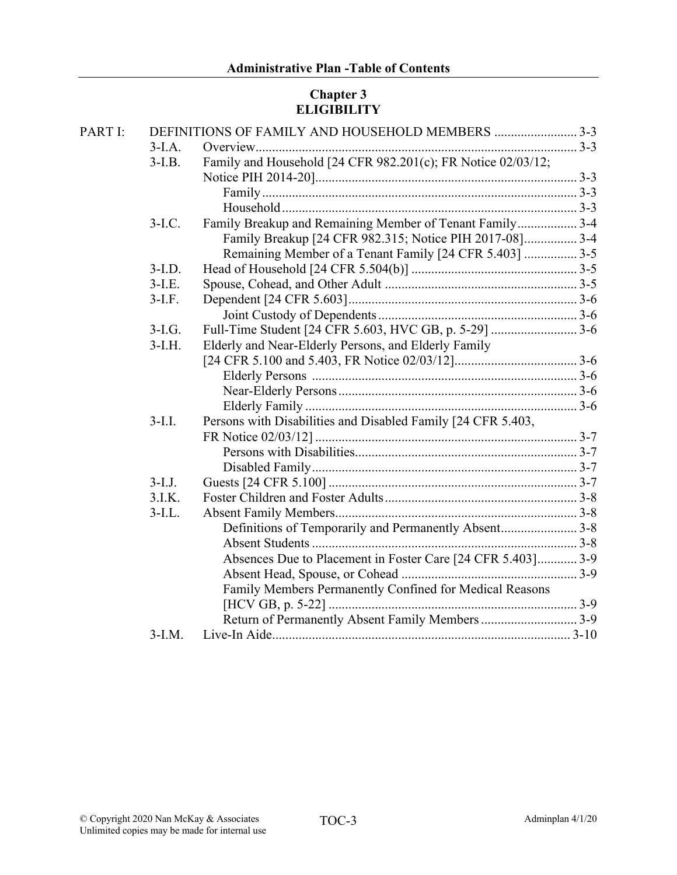## **Chapter 3 ELIGIBILITY**

| PART I: |           | DEFINITIONS OF FAMILY AND HOUSEHOLD MEMBERS 3-3              |  |
|---------|-----------|--------------------------------------------------------------|--|
|         | $3-I.A.$  |                                                              |  |
|         | $3-I.B.$  | Family and Household [24 CFR 982.201(c); FR Notice 02/03/12; |  |
|         |           |                                                              |  |
|         |           |                                                              |  |
|         |           |                                                              |  |
|         | $3-I.C.$  | Family Breakup and Remaining Member of Tenant Family 3-4     |  |
|         |           | Family Breakup [24 CFR 982.315; Notice PIH 2017-08] 3-4      |  |
|         |           | Remaining Member of a Tenant Family [24 CFR 5.403]  3-5      |  |
|         | $3-I.D.$  |                                                              |  |
|         | $3-I.E.$  |                                                              |  |
|         | $3-I.F.$  |                                                              |  |
|         |           |                                                              |  |
|         | $3-I.G.$  |                                                              |  |
|         | $3-I.H.$  | Elderly and Near-Elderly Persons, and Elderly Family         |  |
|         |           |                                                              |  |
|         |           |                                                              |  |
|         |           |                                                              |  |
|         |           |                                                              |  |
|         | $3-I.I.$  | Persons with Disabilities and Disabled Family [24 CFR 5.403, |  |
|         |           |                                                              |  |
|         |           |                                                              |  |
|         |           |                                                              |  |
|         | $3-I.J.$  |                                                              |  |
|         | 3.I.K.    |                                                              |  |
|         | $3$ -I.L. |                                                              |  |
|         |           | Definitions of Temporarily and Permanently Absent 3-8        |  |
|         |           |                                                              |  |
|         |           | Absences Due to Placement in Foster Care [24 CFR 5.403] 3-9  |  |
|         |           |                                                              |  |
|         |           | Family Members Permanently Confined for Medical Reasons      |  |
|         |           |                                                              |  |
|         |           | Return of Permanently Absent Family Members 3-9              |  |
|         | $3-I.M.$  |                                                              |  |
|         |           |                                                              |  |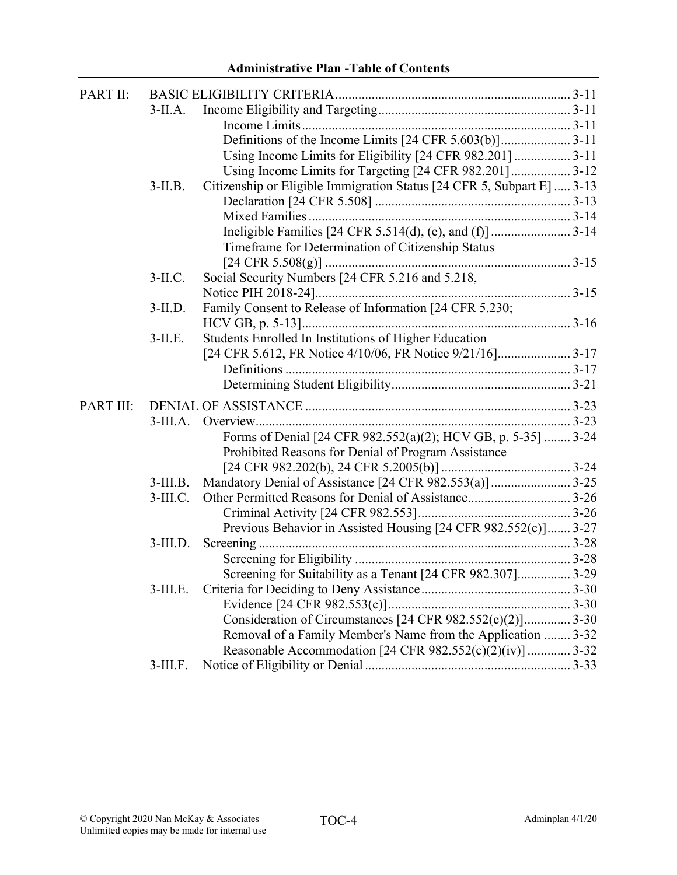| PART II:  |             |                                                                        |  |
|-----------|-------------|------------------------------------------------------------------------|--|
|           | $3-IIA.$    |                                                                        |  |
|           |             |                                                                        |  |
|           |             | Definitions of the Income Limits [24 CFR 5.603(b)]3-11                 |  |
|           |             | Using Income Limits for Eligibility [24 CFR 982.201]  3-11             |  |
|           |             | Using Income Limits for Targeting [24 CFR 982.201] 3-12                |  |
|           | $3$ -II.B.  | Citizenship or Eligible Immigration Status [24 CFR 5, Subpart E]  3-13 |  |
|           |             |                                                                        |  |
|           |             |                                                                        |  |
|           |             |                                                                        |  |
|           |             | Timeframe for Determination of Citizenship Status                      |  |
|           |             |                                                                        |  |
|           | $3-II.C.$   | Social Security Numbers [24 CFR 5.216 and 5.218,                       |  |
|           |             |                                                                        |  |
|           | $3$ -II.D.  | Family Consent to Release of Information [24 CFR 5.230;                |  |
|           |             |                                                                        |  |
|           | $3$ -II.E.  | Students Enrolled In Institutions of Higher Education                  |  |
|           |             | [24 CFR 5.612, FR Notice 4/10/06, FR Notice 9/21/16]3-17               |  |
|           |             |                                                                        |  |
|           |             |                                                                        |  |
| PART III: |             |                                                                        |  |
|           | $3-III.A.$  |                                                                        |  |
|           |             | Forms of Denial [24 CFR 982.552(a)(2); HCV GB, p. 5-35]  3-24          |  |
|           |             | Prohibited Reasons for Denial of Program Assistance                    |  |
|           |             |                                                                        |  |
|           | $3$ -III.B. | Mandatory Denial of Assistance [24 CFR 982.553(a)]  3-25               |  |
|           | $3$ -III.C. |                                                                        |  |
|           |             |                                                                        |  |
|           |             | Previous Behavior in Assisted Housing [24 CFR 982.552(c)] 3-27         |  |
|           | $3$ -III.D. |                                                                        |  |
|           |             |                                                                        |  |
|           |             | Screening for Suitability as a Tenant [24 CFR 982.307] 3-29            |  |
|           | $3$ -III.E. |                                                                        |  |
|           |             |                                                                        |  |
|           |             | Consideration of Circumstances [24 CFR 982.552(c)(2)] 3-30             |  |
|           |             | Removal of a Family Member's Name from the Application  3-32           |  |
|           |             | Reasonable Accommodation [24 CFR 982.552(c)(2)(iv)]  3-32              |  |
|           | $3$ -III.F. |                                                                        |  |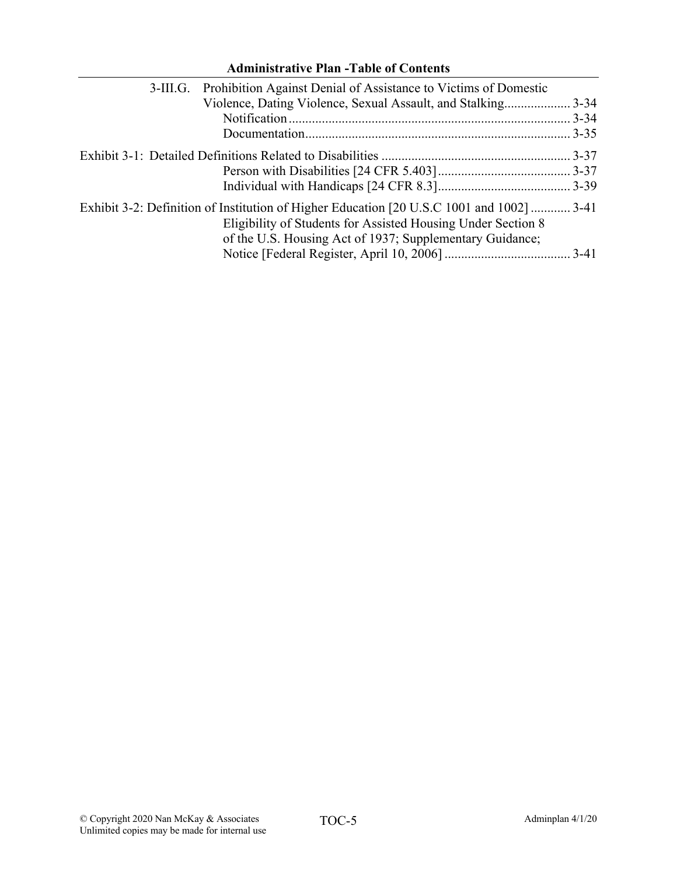| 3-III.G. Prohibition Against Denial of Assistance to Victims of Domestic                                                                                                                                              |
|-----------------------------------------------------------------------------------------------------------------------------------------------------------------------------------------------------------------------|
| Violence, Dating Violence, Sexual Assault, and Stalking3-34                                                                                                                                                           |
|                                                                                                                                                                                                                       |
|                                                                                                                                                                                                                       |
|                                                                                                                                                                                                                       |
|                                                                                                                                                                                                                       |
|                                                                                                                                                                                                                       |
| Exhibit 3-2: Definition of Institution of Higher Education [20 U.S.C 1001 and 1002]  3-41<br>Eligibility of Students for Assisted Housing Under Section 8<br>of the U.S. Housing Act of 1937; Supplementary Guidance; |
|                                                                                                                                                                                                                       |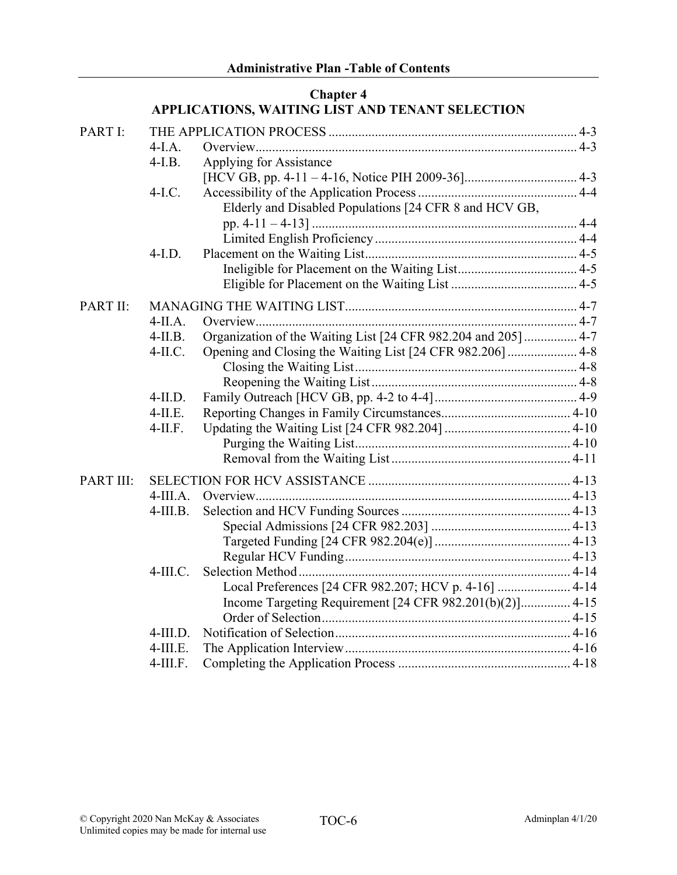#### **Chapter 4 APPLICATIONS, WAITING LIST AND TENANT SELECTION**

| PART I:   | $4-I.A.$    |                                                                |  |
|-----------|-------------|----------------------------------------------------------------|--|
|           | $4-I.B.$    | Applying for Assistance                                        |  |
|           |             |                                                                |  |
|           | $4-I.C.$    | Elderly and Disabled Populations [24 CFR 8 and HCV GB,         |  |
|           |             |                                                                |  |
|           |             |                                                                |  |
|           | $4-I.D.$    |                                                                |  |
|           |             |                                                                |  |
|           |             |                                                                |  |
| PART II:  |             |                                                                |  |
|           | $4-IIA.$    |                                                                |  |
|           | $4-II.B.$   | Organization of the Waiting List [24 CFR 982.204 and 205]  4-7 |  |
|           | $4-II.C.$   | Opening and Closing the Waiting List [24 CFR 982.206]  4-8     |  |
|           |             |                                                                |  |
|           |             |                                                                |  |
|           | $4$ -II.D.  |                                                                |  |
|           | $4-II.E.$   |                                                                |  |
|           | $4$ -II.F.  |                                                                |  |
|           |             |                                                                |  |
|           |             |                                                                |  |
| PART III: |             |                                                                |  |
|           | $4-III.A.$  |                                                                |  |
|           | $4$ -III.B. |                                                                |  |
|           |             |                                                                |  |
|           |             |                                                                |  |
|           |             |                                                                |  |
|           | $4-III.C.$  |                                                                |  |
|           |             | Local Preferences [24 CFR 982.207; HCV p. 4-16]  4-14          |  |
|           |             | Income Targeting Requirement [24 CFR 982.201(b)(2)] 4-15       |  |
|           |             |                                                                |  |
|           | $4$ -III.D. |                                                                |  |
|           | $4$ -III.E. |                                                                |  |
|           | $4$ -III.F. |                                                                |  |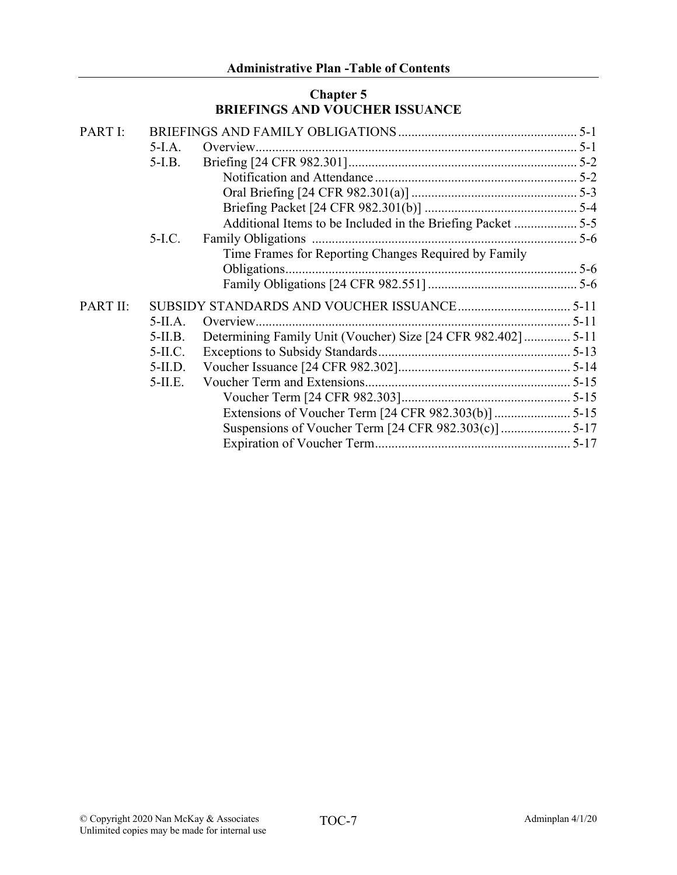### **Chapter 5 BRIEFINGS AND VOUCHER ISSUANCE**

| PART I:  |            |                                                               |  |
|----------|------------|---------------------------------------------------------------|--|
|          | 5-I.A.     |                                                               |  |
|          | $5-I.B.$   |                                                               |  |
|          |            |                                                               |  |
|          |            |                                                               |  |
|          |            |                                                               |  |
|          |            | Additional Items to be Included in the Briefing Packet  5-5   |  |
|          | $5-I.C.$   |                                                               |  |
|          |            | Time Frames for Reporting Changes Required by Family          |  |
|          |            |                                                               |  |
|          |            |                                                               |  |
| PART II: |            |                                                               |  |
|          | $5-IIA.$   |                                                               |  |
|          | $5-II.B.$  | Determining Family Unit (Voucher) Size [24 CFR 982.402]  5-11 |  |
|          | $5-II.C.$  |                                                               |  |
|          | $5-II.D.$  |                                                               |  |
|          | $5$ -II.E. |                                                               |  |
|          |            |                                                               |  |
|          |            |                                                               |  |
|          |            |                                                               |  |
|          |            |                                                               |  |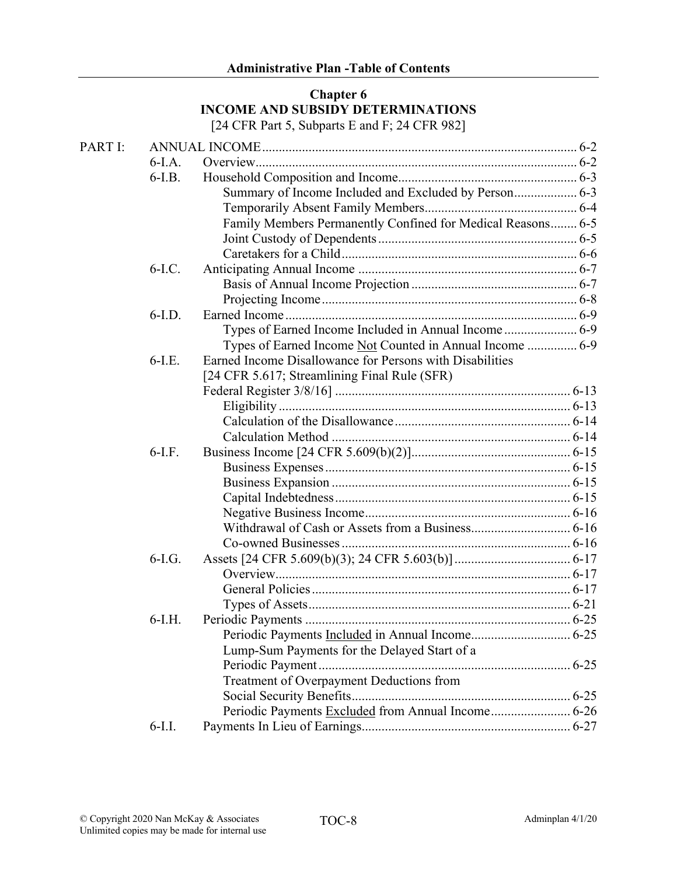# **Chapter 6 INCOME AND SUBSIDY DETERMINATIONS**

[24 CFR Part 5, Subparts E and F; 24 CFR 982]

| PART I: |          |                                                             |  |
|---------|----------|-------------------------------------------------------------|--|
|         | $6-I.A.$ |                                                             |  |
|         | $6-I.B.$ |                                                             |  |
|         |          | Summary of Income Included and Excluded by Person 6-3       |  |
|         |          |                                                             |  |
|         |          | Family Members Permanently Confined for Medical Reasons 6-5 |  |
|         |          |                                                             |  |
|         |          |                                                             |  |
|         | $6-I.C.$ |                                                             |  |
|         |          |                                                             |  |
|         |          |                                                             |  |
|         | $6-I.D.$ |                                                             |  |
|         |          | Types of Earned Income Included in Annual Income  6-9       |  |
|         |          | Types of Earned Income Not Counted in Annual Income  6-9    |  |
|         | $6-I.E.$ | Earned Income Disallowance for Persons with Disabilities    |  |
|         |          | [24 CFR 5.617; Streamlining Final Rule (SFR)                |  |
|         |          |                                                             |  |
|         |          |                                                             |  |
|         |          |                                                             |  |
|         |          |                                                             |  |
|         | $6-I.F.$ |                                                             |  |
|         |          |                                                             |  |
|         |          |                                                             |  |
|         |          |                                                             |  |
|         |          |                                                             |  |
|         |          |                                                             |  |
|         |          |                                                             |  |
|         | $6-I.G.$ |                                                             |  |
|         |          |                                                             |  |
|         |          |                                                             |  |
|         |          |                                                             |  |
|         | $6-I.H.$ |                                                             |  |
|         |          |                                                             |  |
|         |          | Lump-Sum Payments for the Delayed Start of a                |  |
|         |          |                                                             |  |
|         |          | Treatment of Overpayment Deductions from                    |  |
|         |          |                                                             |  |
|         |          | Periodic Payments Excluded from Annual Income 6-26          |  |
|         | $6-I.I.$ |                                                             |  |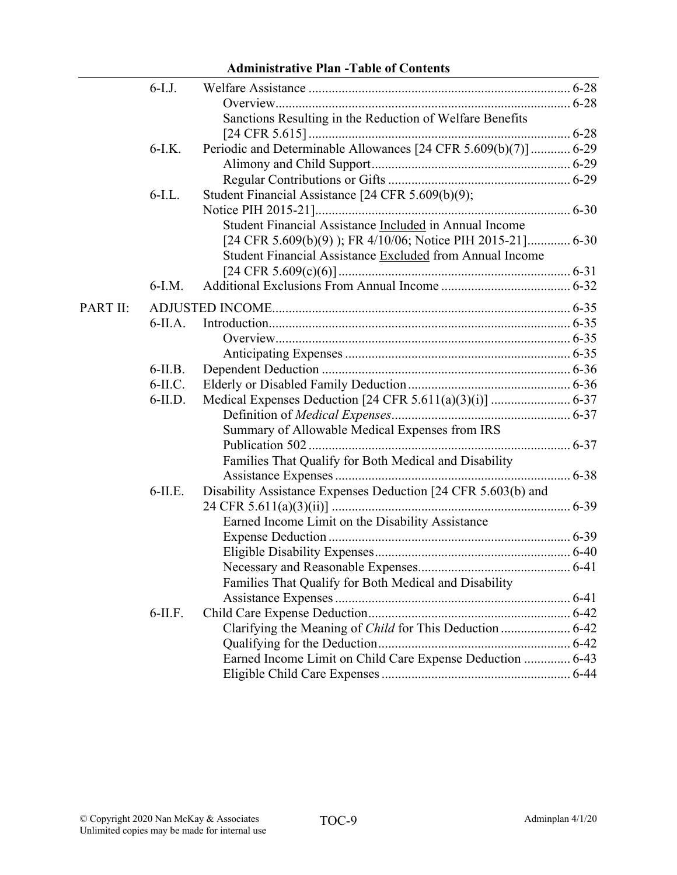### 6-I.J. Welfare Assistance ............................................................................... 6-28 Overview......................................................................................... 6-28 Sanctions Resulting in the Reduction of Welfare Benefits [24 CFR 5.615]............................................................................... 6-28 6-I.K. Periodic and Determinable Allowances [24 CFR 5.609(b)(7)]............ 6-29 Alimony and Child Support............................................................ 6-29 Regular Contributions or Gifts ....................................................... 6-29 6-I.L. Student Financial Assistance [24 CFR 5.609(b)(9); Notice PIH 2015-21]............................................................................. 6-30 Student Financial Assistance Included in Annual Income [24 CFR 5.609(b)(9) ); FR 4/10/06; Notice PIH 2015-21]............. 6-30 Student Financial Assistance Excluded from Annual Income [24 CFR 5.609(c)(6)]...................................................................... 6-31 6-I.M. Additional Exclusions From Annual Income ....................................... 6-32 PART II: ADJUSTED INCOME.......................................................................................... 6-35 6-II.A. Introduction........................................................................................... 6-35 Overview......................................................................................... 6-35 Anticipating Expenses.................................................................... 6-35 6-II.B. Dependent Deduction ........................................................................... 6-36 6-II.C. Elderly or Disabled Family Deduction................................................. 6-36 6-II.D. Medical Expenses Deduction [24 CFR 5.611(a)(3)(i)] ........................ 6-37 Definition of *Medical Expenses*...................................................... 6-37 Summary of Allowable Medical Expenses from IRS Publication 502 ............................................................................... 6-37 Families That Qualify for Both Medical and Disability Assistance Expenses....................................................................... 6-38 6-II.E. Disability Assistance Expenses Deduction [24 CFR 5.603(b) and 24 CFR 5.611(a)(3)(ii)] ........................................................................ 6-39 Earned Income Limit on the Disability Assistance Expense Deduction ......................................................................... 6-39 Eligible Disability Expenses........................................................... 6-40 Necessary and Reasonable Expenses.............................................. 6-41 Families That Qualify for Both Medical and Disability Assistance Expenses....................................................................... 6-41 6-II.F. Child Care Expense Deduction............................................................. 6-42 Clarifying the Meaning of *Child* for This Deduction ..................... 6-42 Qualifying for the Deduction.......................................................... 6-42 Earned Income Limit on Child Care Expense Deduction .............. 6-43 Eligible Child Care Expenses......................................................... 6-44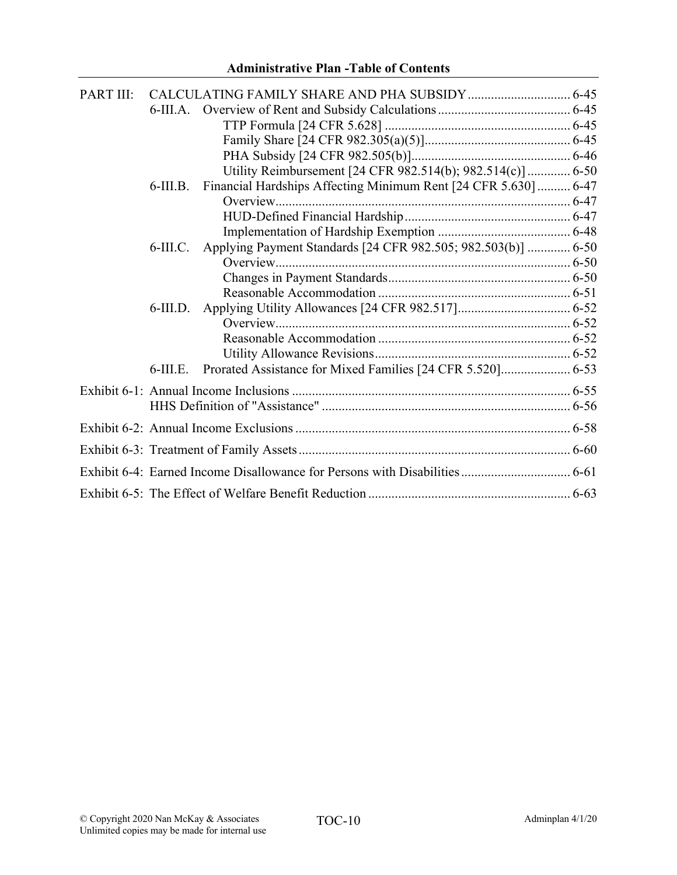| PART III: |             |                                                                 |  |
|-----------|-------------|-----------------------------------------------------------------|--|
|           |             |                                                                 |  |
|           |             |                                                                 |  |
|           |             |                                                                 |  |
|           |             |                                                                 |  |
|           |             | Utility Reimbursement [24 CFR 982.514(b); 982.514(c)] 6-50      |  |
|           | $6$ -III.B. | Financial Hardships Affecting Minimum Rent [24 CFR 5.630]  6-47 |  |
|           |             |                                                                 |  |
|           |             |                                                                 |  |
|           |             |                                                                 |  |
|           | $6$ -III.C. | Applying Payment Standards [24 CFR 982.505; 982.503(b)]  6-50   |  |
|           |             |                                                                 |  |
|           |             |                                                                 |  |
|           |             |                                                                 |  |
|           | $6$ -III.D. |                                                                 |  |
|           |             |                                                                 |  |
|           |             |                                                                 |  |
|           |             |                                                                 |  |
|           | $6$ -III.E. |                                                                 |  |
|           |             |                                                                 |  |
|           |             |                                                                 |  |
|           |             |                                                                 |  |
|           |             |                                                                 |  |
|           |             |                                                                 |  |
|           |             |                                                                 |  |
|           |             |                                                                 |  |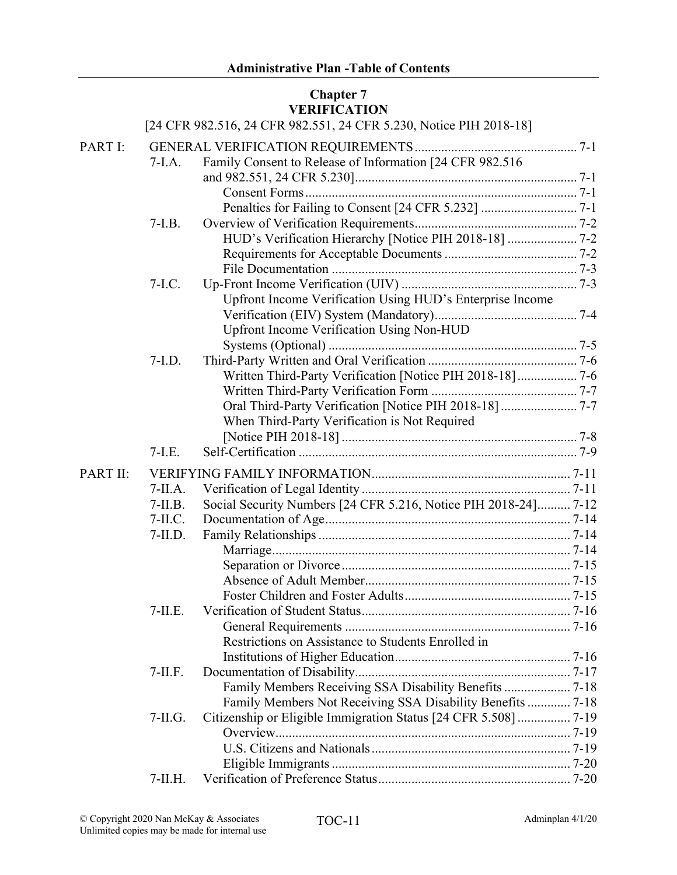### **Chapter 7 VERIFICATION**

|          |            | [24 CFR 982.516, 24 CFR 982.551, 24 CFR 5.230, Notice PIH 2018-18] |  |
|----------|------------|--------------------------------------------------------------------|--|
| PART I:  |            |                                                                    |  |
|          | $7-I.A.$   | Family Consent to Release of Information [24 CFR 982.516           |  |
|          |            |                                                                    |  |
|          |            |                                                                    |  |
|          |            |                                                                    |  |
|          | $7-I.B.$   |                                                                    |  |
|          |            | HUD's Verification Hierarchy [Notice PIH 2018-18]  7-2             |  |
|          |            |                                                                    |  |
|          |            |                                                                    |  |
|          | $7-I.C.$   |                                                                    |  |
|          |            | Upfront Income Verification Using HUD's Enterprise Income          |  |
|          |            |                                                                    |  |
|          |            | Upfront Income Verification Using Non-HUD                          |  |
|          |            |                                                                    |  |
|          | $7-I.D.$   |                                                                    |  |
|          |            | Written Third-Party Verification [Notice PIH 2018-18] 7-6          |  |
|          |            |                                                                    |  |
|          |            | Oral Third-Party Verification [Notice PIH 2018-18]  7-7            |  |
|          |            | When Third-Party Verification is Not Required                      |  |
|          |            |                                                                    |  |
|          | $7-I.E.$   |                                                                    |  |
| PART II: |            |                                                                    |  |
|          | $7-IIA.$   |                                                                    |  |
|          | $7-II.B.$  | Social Security Numbers [24 CFR 5.216, Notice PIH 2018-24] 7-12    |  |
|          | $7-II.C.$  |                                                                    |  |
|          | $7-II.D.$  |                                                                    |  |
|          |            |                                                                    |  |
|          |            |                                                                    |  |
|          |            |                                                                    |  |
|          |            |                                                                    |  |
|          | $7-II.E.$  |                                                                    |  |
|          |            |                                                                    |  |
|          |            | Restrictions on Assistance to Students Enrolled in                 |  |
|          |            |                                                                    |  |
|          | $7-II.F.$  |                                                                    |  |
|          |            | Family Members Receiving SSA Disability Benefits  7-18             |  |
|          |            | Family Members Not Receiving SSA Disability Benefits  7-18         |  |
|          | $7-IL$ .G. | Citizenship or Eligible Immigration Status [24 CFR 5.508]  7-19    |  |
|          |            |                                                                    |  |
|          |            |                                                                    |  |
|          |            |                                                                    |  |
|          | $7-II.H.$  |                                                                    |  |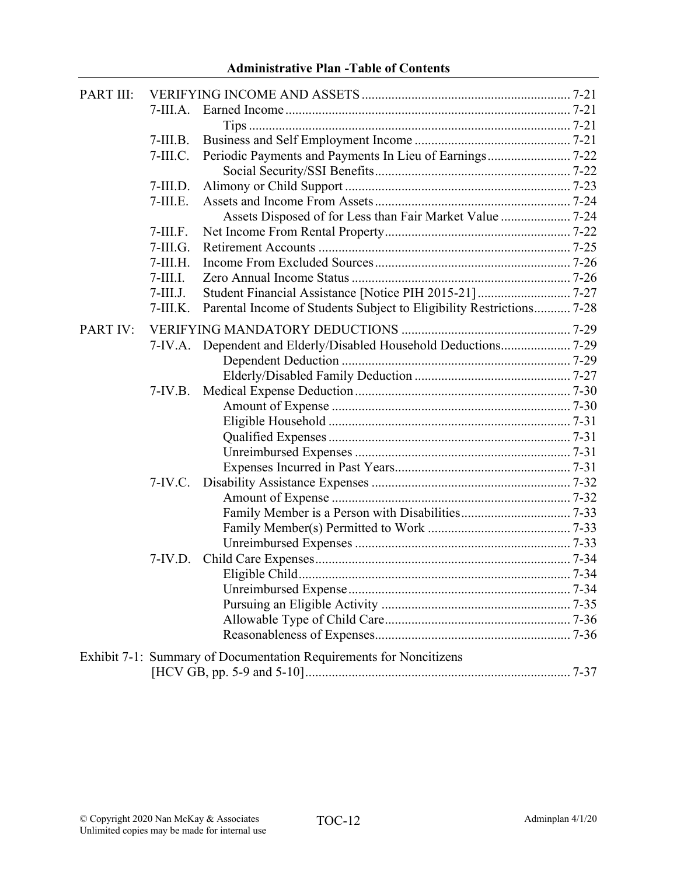| PART III:       |             |                                                                      |  |
|-----------------|-------------|----------------------------------------------------------------------|--|
|                 | $7-III.A.$  |                                                                      |  |
|                 |             |                                                                      |  |
|                 | $7-III.B.$  |                                                                      |  |
|                 | $7-III.C.$  |                                                                      |  |
|                 |             |                                                                      |  |
|                 | $7-III.D.$  |                                                                      |  |
|                 | $7-III.E.$  |                                                                      |  |
|                 |             | Assets Disposed of for Less than Fair Market Value  7-24             |  |
|                 | $7-III.F.$  |                                                                      |  |
|                 | $7-III.G.$  |                                                                      |  |
|                 | $7-III.H.$  |                                                                      |  |
|                 | $7$ -III.I. |                                                                      |  |
|                 | $7$ -III.J. | Student Financial Assistance [Notice PIH 2015-21]  7-27              |  |
|                 | $7-III.K.$  | Parental Income of Students Subject to Eligibility Restrictions 7-28 |  |
| <b>PART IV:</b> |             |                                                                      |  |
|                 |             | 7-IV.A. Dependent and Elderly/Disabled Household Deductions 7-29     |  |
|                 |             |                                                                      |  |
|                 |             |                                                                      |  |
|                 | $7-IV.B.$   |                                                                      |  |
|                 |             |                                                                      |  |
|                 |             |                                                                      |  |
|                 |             |                                                                      |  |
|                 |             |                                                                      |  |
|                 |             |                                                                      |  |
|                 | $7-IV.C.$   |                                                                      |  |
|                 |             |                                                                      |  |
|                 |             |                                                                      |  |
|                 |             |                                                                      |  |
|                 |             |                                                                      |  |
|                 | $7-IV.D.$   |                                                                      |  |
|                 |             |                                                                      |  |
|                 |             |                                                                      |  |
|                 |             |                                                                      |  |
|                 |             |                                                                      |  |
|                 |             |                                                                      |  |
|                 |             | Exhibit 7-1: Summary of Documentation Requirements for Noncitizens   |  |
|                 |             |                                                                      |  |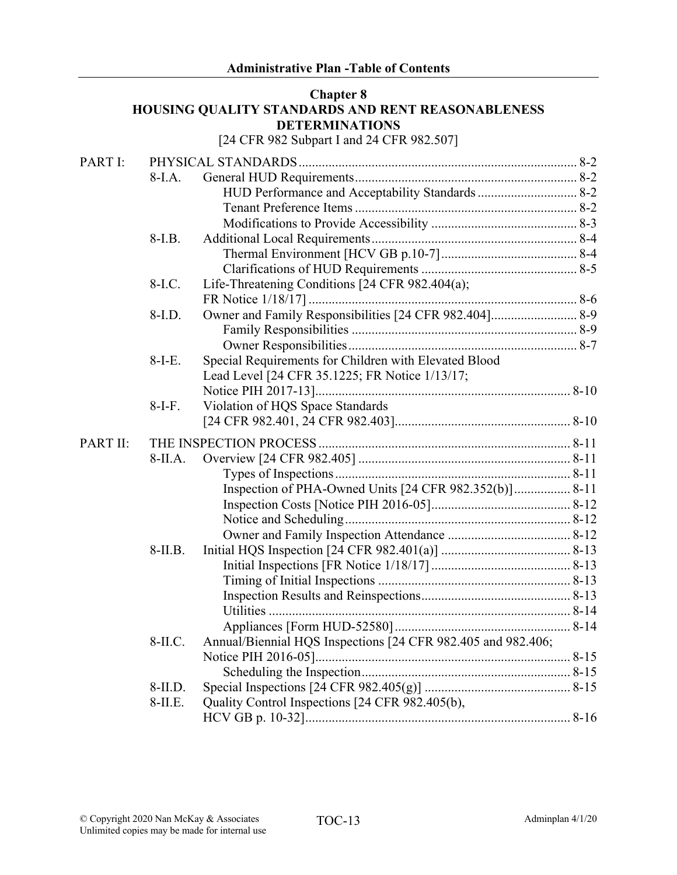#### **Chapter 8 HOUSING QUALITY STANDARDS AND RENT REASONABLENESS DETERMINATIONS**

[24 CFR 982 Subpart I and 24 CFR 982.507]

| PART I:  |           |                                                              |  |
|----------|-----------|--------------------------------------------------------------|--|
|          | $8-I.A.$  |                                                              |  |
|          |           | HUD Performance and Acceptability Standards  8-2             |  |
|          |           |                                                              |  |
|          |           |                                                              |  |
|          | 8-I.B.    |                                                              |  |
|          |           |                                                              |  |
|          |           |                                                              |  |
|          | 8-I.C.    | Life-Threatening Conditions [24 CFR 982.404(a);              |  |
|          |           |                                                              |  |
|          | 8-I.D.    | Owner and Family Responsibilities [24 CFR 982.404] 8-9       |  |
|          |           |                                                              |  |
|          |           |                                                              |  |
|          | $8-I-E.$  | Special Requirements for Children with Elevated Blood        |  |
|          |           | Lead Level [24 CFR 35.1225; FR Notice 1/13/17;               |  |
|          |           |                                                              |  |
|          | $8-I-F.$  | Violation of HQS Space Standards                             |  |
|          |           |                                                              |  |
| PART II: |           |                                                              |  |
|          | 8-II.A.   |                                                              |  |
|          |           |                                                              |  |
|          |           | Inspection of PHA-Owned Units [24 CFR 982.352(b)] 8-11       |  |
|          |           |                                                              |  |
|          |           |                                                              |  |
|          |           |                                                              |  |
|          | $8-II.B.$ |                                                              |  |
|          |           |                                                              |  |
|          |           |                                                              |  |
|          |           |                                                              |  |
|          |           |                                                              |  |
|          |           |                                                              |  |
|          | 8-II.C.   | Annual/Biennial HQS Inspections [24 CFR 982.405 and 982.406; |  |
|          |           |                                                              |  |
|          |           |                                                              |  |
|          | $8-II.D.$ |                                                              |  |
|          | $8-II.E.$ | Quality Control Inspections [24 CFR 982.405(b),              |  |
|          |           |                                                              |  |
|          |           |                                                              |  |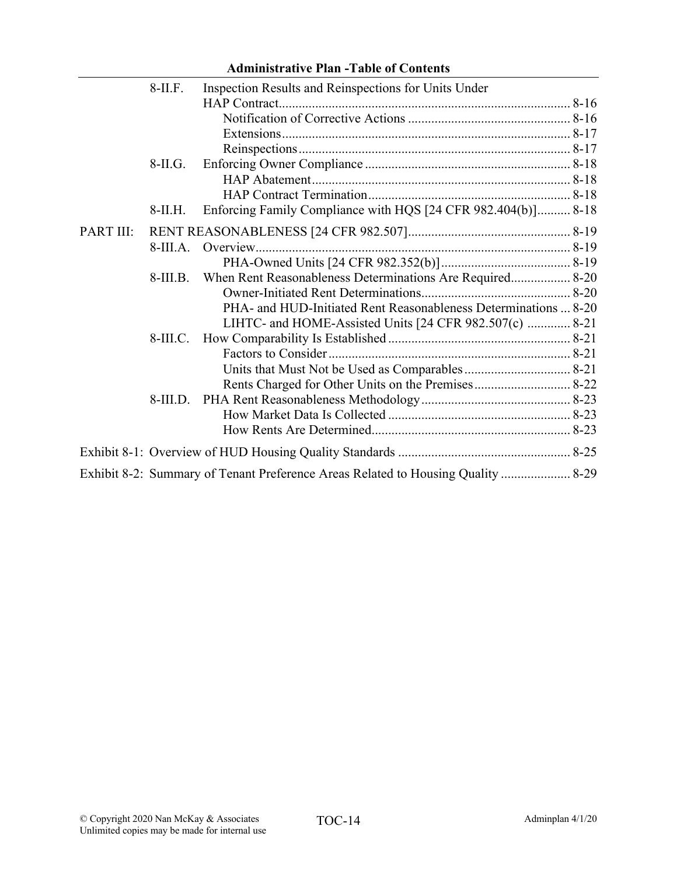|           | $8-II.F.$  | Inspection Results and Reinspections for Units Under                             |  |
|-----------|------------|----------------------------------------------------------------------------------|--|
|           |            |                                                                                  |  |
|           |            |                                                                                  |  |
|           |            |                                                                                  |  |
|           |            |                                                                                  |  |
|           | $8-II.G.$  |                                                                                  |  |
|           |            |                                                                                  |  |
|           |            |                                                                                  |  |
|           | $8-II.H.$  | Enforcing Family Compliance with HQS [24 CFR 982.404(b)] 8-18                    |  |
| PART III: |            |                                                                                  |  |
|           | $8-III.A.$ |                                                                                  |  |
|           |            |                                                                                  |  |
|           | $8-III.B.$ | When Rent Reasonableness Determinations Are Required 8-20                        |  |
|           |            |                                                                                  |  |
|           |            | PHA- and HUD-Initiated Rent Reasonableness Determinations  8-20                  |  |
|           |            | LIHTC- and HOME-Assisted Units [24 CFR 982.507(c)  8-21                          |  |
|           | $8-III.C.$ |                                                                                  |  |
|           |            |                                                                                  |  |
|           |            |                                                                                  |  |
|           |            |                                                                                  |  |
|           | $8-III.D.$ |                                                                                  |  |
|           |            |                                                                                  |  |
|           |            |                                                                                  |  |
|           |            |                                                                                  |  |
|           |            | Exhibit 8-2: Summary of Tenant Preference Areas Related to Housing Quality  8-29 |  |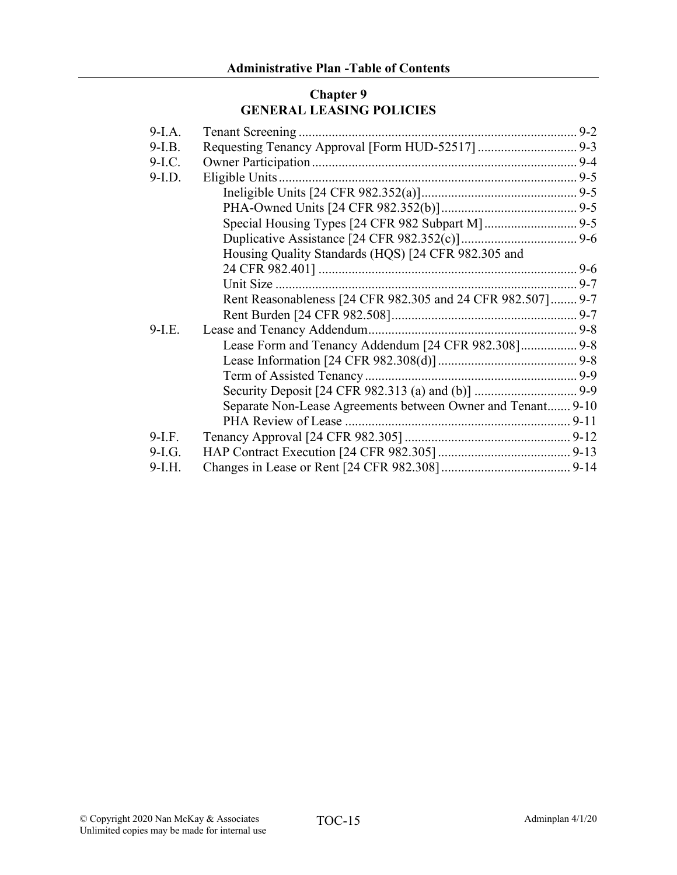## **Chapter 9 GENERAL LEASING POLICIES**

| $9-I.A.$ |                                                             |  |
|----------|-------------------------------------------------------------|--|
| $9-I.B.$ |                                                             |  |
| $9-I.C.$ |                                                             |  |
| $9-I.D.$ |                                                             |  |
|          |                                                             |  |
|          |                                                             |  |
|          |                                                             |  |
|          |                                                             |  |
|          | Housing Quality Standards (HQS) [24 CFR 982.305 and         |  |
|          |                                                             |  |
|          |                                                             |  |
|          | Rent Reasonableness [24 CFR 982.305 and 24 CFR 982.507] 9-7 |  |
|          |                                                             |  |
| $9-I.E.$ |                                                             |  |
|          | Lease Form and Tenancy Addendum [24 CFR 982.308] 9-8        |  |
|          |                                                             |  |
|          |                                                             |  |
|          |                                                             |  |
|          | Separate Non-Lease Agreements between Owner and Tenant 9-10 |  |
|          |                                                             |  |
| $9-I.F.$ |                                                             |  |
| $9-I.G.$ |                                                             |  |
| $9-I.H.$ |                                                             |  |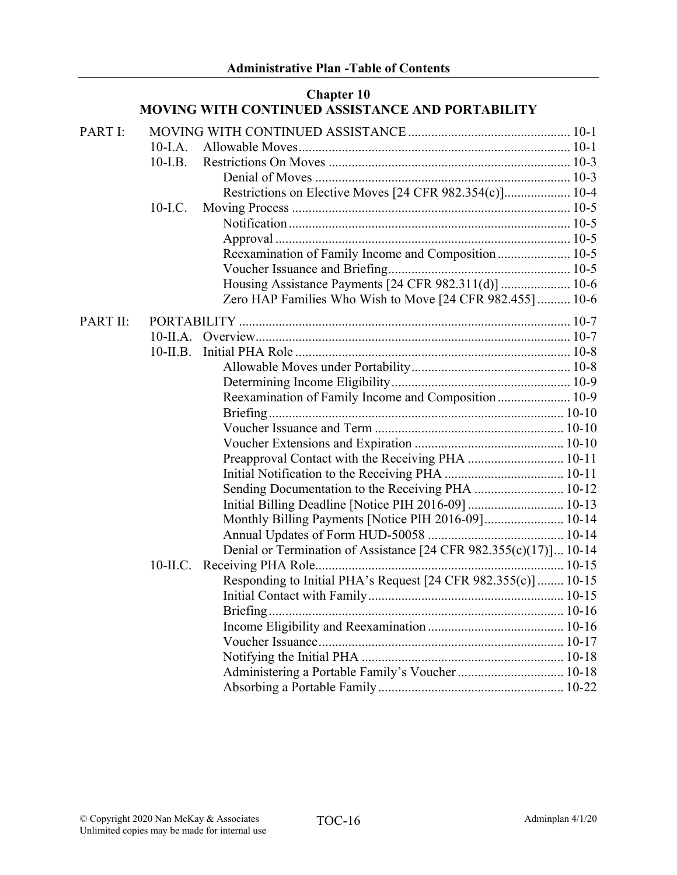|          |            | <b>Chapter 10</b><br>MOVING WITH CONTINUED ASSISTANCE AND PORTABILITY |  |
|----------|------------|-----------------------------------------------------------------------|--|
| PART I:  |            |                                                                       |  |
|          | $10-I.A.$  |                                                                       |  |
|          | $10-LB$ .  |                                                                       |  |
|          |            |                                                                       |  |
|          |            | Restrictions on Elective Moves [24 CFR 982.354(c)] 10-4               |  |
|          | 10-I.C.    |                                                                       |  |
|          |            |                                                                       |  |
|          |            |                                                                       |  |
|          |            | Reexamination of Family Income and Composition 10-5                   |  |
|          |            |                                                                       |  |
|          |            | Housing Assistance Payments [24 CFR 982.311(d)]  10-6                 |  |
|          |            | Zero HAP Families Who Wish to Move [24 CFR 982.455]  10-6             |  |
| PART II: |            |                                                                       |  |
|          |            |                                                                       |  |
|          | $10-II.B.$ |                                                                       |  |
|          |            |                                                                       |  |
|          |            |                                                                       |  |
|          |            | Reexamination of Family Income and Composition 10-9                   |  |
|          |            |                                                                       |  |
|          |            |                                                                       |  |
|          |            |                                                                       |  |
|          |            | Preapproval Contact with the Receiving PHA  10-11                     |  |
|          |            |                                                                       |  |
|          |            |                                                                       |  |
|          |            | Initial Billing Deadline [Notice PIH 2016-09]  10-13                  |  |
|          |            | Monthly Billing Payments [Notice PIH 2016-09] 10-14                   |  |
|          |            |                                                                       |  |
|          |            | Denial or Termination of Assistance [24 CFR 982.355(c)(17)] 10-14     |  |
|          |            |                                                                       |  |
|          |            | Responding to Initial PHA's Request [24 CFR 982.355(c)]  10-15        |  |
|          |            |                                                                       |  |
|          |            |                                                                       |  |
|          |            |                                                                       |  |
|          |            |                                                                       |  |
|          |            |                                                                       |  |
|          |            | Administering a Portable Family's Voucher  10-18                      |  |
|          |            |                                                                       |  |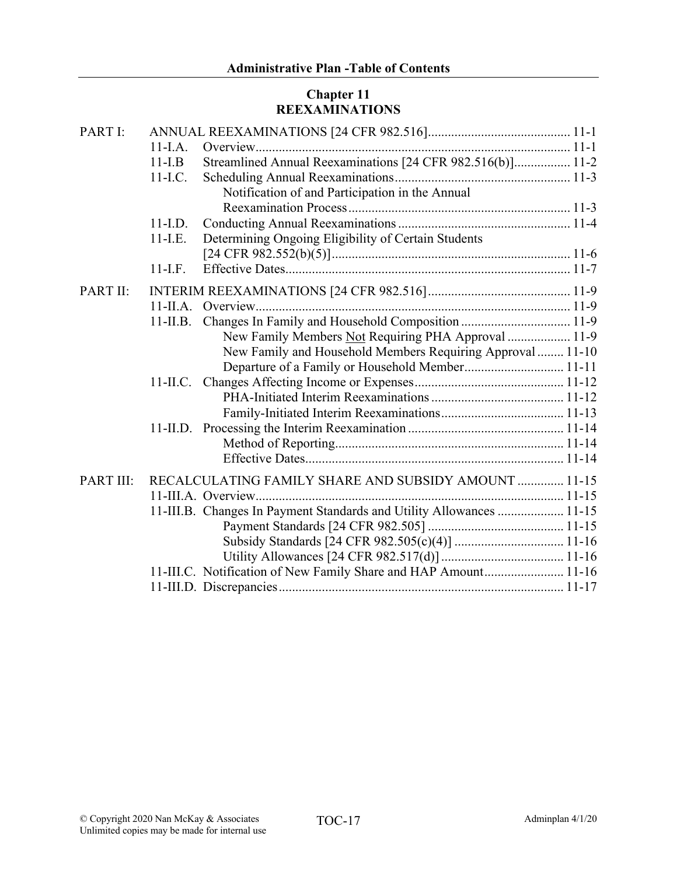## **Chapter 11 REEXAMINATIONS**

| PART I:   |                                                                       |
|-----------|-----------------------------------------------------------------------|
|           | $11-I.A.$                                                             |
|           | Streamlined Annual Reexaminations [24 CFR 982.516(b)] 11-2<br>$11-LB$ |
|           | 11-I.C.                                                               |
|           | Notification of and Participation in the Annual                       |
|           |                                                                       |
|           | $11$ -I.D.                                                            |
|           | Determining Ongoing Eligibility of Certain Students<br>$11-L.E.$      |
|           |                                                                       |
|           | $11-I.F.$                                                             |
| PART II:  |                                                                       |
|           |                                                                       |
|           | $11$ -II.B.                                                           |
|           | New Family Members Not Requiring PHA Approval  11-9                   |
|           | New Family and Household Members Requiring Approval  11-10            |
|           | Departure of a Family or Household Member 11-11                       |
|           |                                                                       |
|           |                                                                       |
|           |                                                                       |
|           |                                                                       |
|           |                                                                       |
|           |                                                                       |
| PART III: | RECALCULATING FAMILY SHARE AND SUBSIDY AMOUNT  11-15                  |
|           |                                                                       |
|           | 11-III.B. Changes In Payment Standards and Utility Allowances  11-15  |
|           |                                                                       |
|           |                                                                       |
|           |                                                                       |
|           | 11-III.C. Notification of New Family Share and HAP Amount 11-16       |
|           |                                                                       |
|           |                                                                       |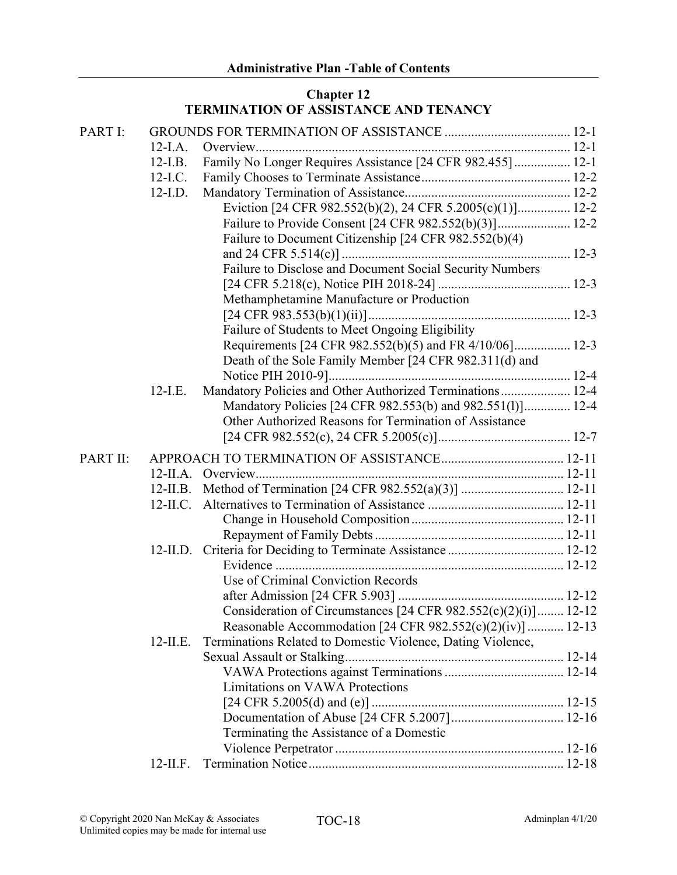## **Chapter 12 TERMINATION OF ASSISTANCE AND TENANCY**

| PART I:  |             |                                                                    |  |
|----------|-------------|--------------------------------------------------------------------|--|
|          | $12$ -I.A.  |                                                                    |  |
|          | $12-I.B.$   | Family No Longer Requires Assistance [24 CFR 982.455] 12-1         |  |
|          | $12$ -I.C.  |                                                                    |  |
|          | $12$ -I.D.  |                                                                    |  |
|          |             | Eviction [24 CFR 982.552(b)(2), 24 CFR 5.2005(c)(1)] 12-2          |  |
|          |             | Failure to Provide Consent [24 CFR 982.552(b)(3)] 12-2             |  |
|          |             | Failure to Document Citizenship [24 CFR 982.552(b)(4)              |  |
|          |             |                                                                    |  |
|          |             | Failure to Disclose and Document Social Security Numbers           |  |
|          |             |                                                                    |  |
|          |             | Methamphetamine Manufacture or Production                          |  |
|          |             |                                                                    |  |
|          |             | Failure of Students to Meet Ongoing Eligibility                    |  |
|          |             | Requirements [24 CFR 982.552(b)(5) and FR 4/10/06] 12-3            |  |
|          |             | Death of the Sole Family Member [24 CFR 982.311(d) and             |  |
|          |             |                                                                    |  |
|          | $12-I.E.$   | Mandatory Policies and Other Authorized Terminations 12-4          |  |
|          |             | Mandatory Policies [24 CFR 982.553(b) and 982.551(l)] 12-4         |  |
|          |             | Other Authorized Reasons for Termination of Assistance             |  |
|          |             |                                                                    |  |
| PART II: |             |                                                                    |  |
|          |             |                                                                    |  |
|          | $12$ -II.B. |                                                                    |  |
|          | $12$ -II.C. |                                                                    |  |
|          |             |                                                                    |  |
|          |             |                                                                    |  |
|          |             |                                                                    |  |
|          |             |                                                                    |  |
|          |             | Use of Criminal Conviction Records                                 |  |
|          |             |                                                                    |  |
|          |             | Consideration of Circumstances $[24$ CFR $982.552(c)(2)(i)]$ 12-12 |  |
|          |             | Reasonable Accommodation [24 CFR 982.552(c)(2)(iv)]  12-13         |  |
|          | $12$ -II.E. | Terminations Related to Domestic Violence, Dating Violence,        |  |
|          |             |                                                                    |  |
|          |             |                                                                    |  |
|          |             | Limitations on VAWA Protections                                    |  |
|          |             |                                                                    |  |
|          |             |                                                                    |  |
|          |             | Terminating the Assistance of a Domestic                           |  |
|          |             |                                                                    |  |
|          | $12$ -II.F. |                                                                    |  |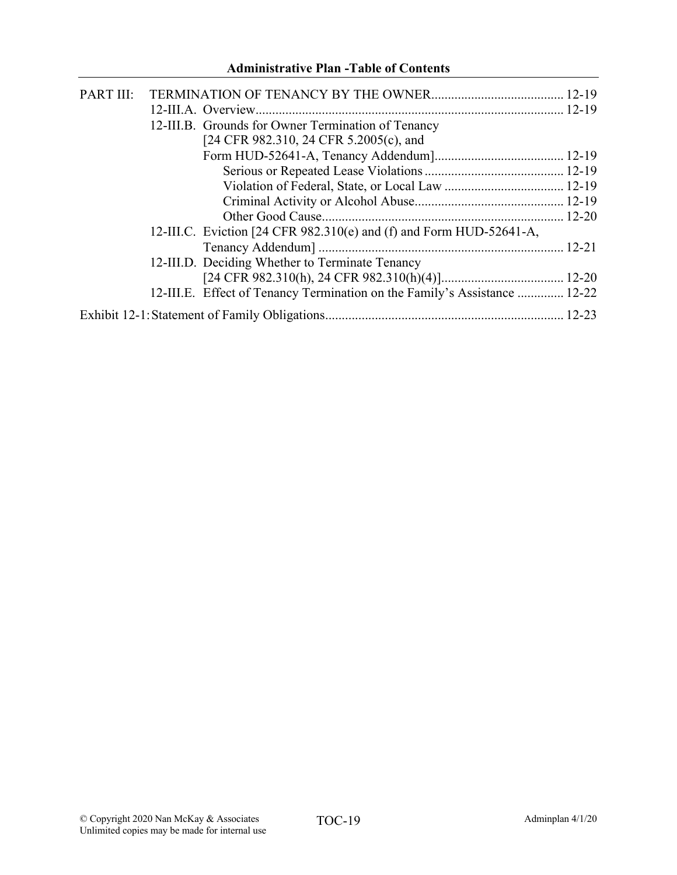| PART III: |                                                                           |  |
|-----------|---------------------------------------------------------------------------|--|
|           |                                                                           |  |
|           | 12-III.B. Grounds for Owner Termination of Tenancy                        |  |
|           | [24 CFR 982.310, 24 CFR 5.2005(c), and                                    |  |
|           |                                                                           |  |
|           |                                                                           |  |
|           |                                                                           |  |
|           |                                                                           |  |
|           |                                                                           |  |
|           | 12-III.C. Eviction [24 CFR $982.310(e)$ and (f) and Form HUD-52641-A,     |  |
|           |                                                                           |  |
|           | 12-III.D. Deciding Whether to Terminate Tenancy                           |  |
|           |                                                                           |  |
|           | 12-III.E. Effect of Tenancy Termination on the Family's Assistance  12-22 |  |
|           |                                                                           |  |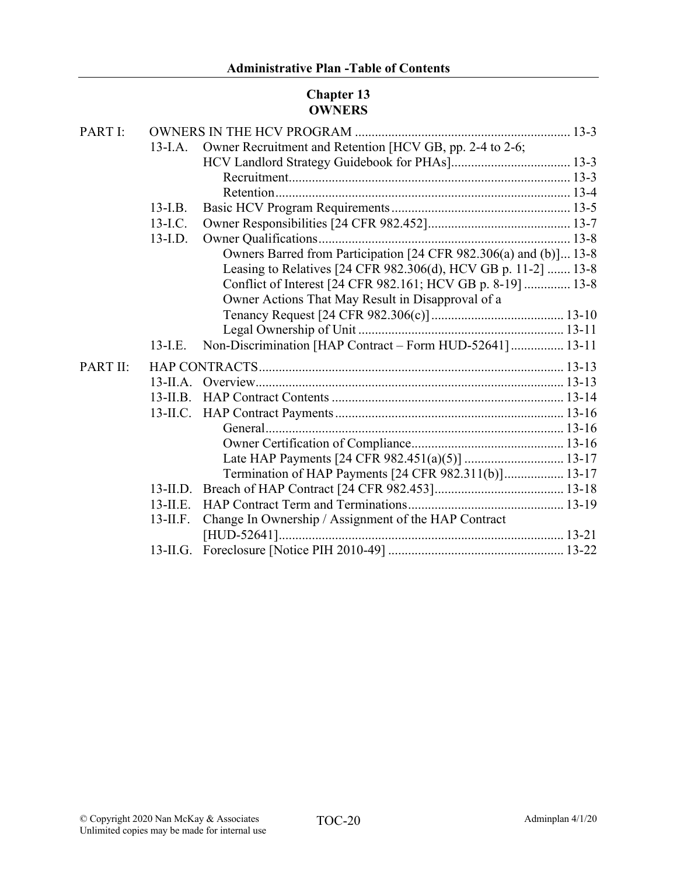## **Chapter 13 OWNERS**

| PART I:  |             |                                                                   |
|----------|-------------|-------------------------------------------------------------------|
|          | $13$ -I.A.  | Owner Recruitment and Retention [HCV GB, pp. 2-4 to 2-6;          |
|          |             |                                                                   |
|          |             |                                                                   |
|          |             |                                                                   |
|          | $13$ -I.B.  |                                                                   |
|          | $13$ -I.C.  |                                                                   |
|          | $13$ -I.D.  |                                                                   |
|          |             | Owners Barred from Participation [24 CFR 982.306(a) and (b)] 13-8 |
|          |             | Leasing to Relatives [24 CFR 982.306(d), HCV GB p. 11-2]  13-8    |
|          |             | Conflict of Interest [24 CFR 982.161; HCV GB p. 8-19]  13-8       |
|          |             | Owner Actions That May Result in Disapproval of a                 |
|          |             |                                                                   |
|          |             |                                                                   |
|          | $13-I.E.$   | Non-Discrimination [HAP Contract - Form HUD-52641] 13-11          |
| PART II: |             |                                                                   |
|          |             |                                                                   |
|          | $13$ -II.B. |                                                                   |
|          |             |                                                                   |
|          |             |                                                                   |
|          |             |                                                                   |
|          |             |                                                                   |
|          |             | Termination of HAP Payments [24 CFR 982.311(b)] 13-17             |
|          | $13$ -II.D. |                                                                   |
|          | $13$ -II.E. |                                                                   |
|          | $13$ -II.F. | Change In Ownership / Assignment of the HAP Contract              |
|          |             |                                                                   |
|          |             |                                                                   |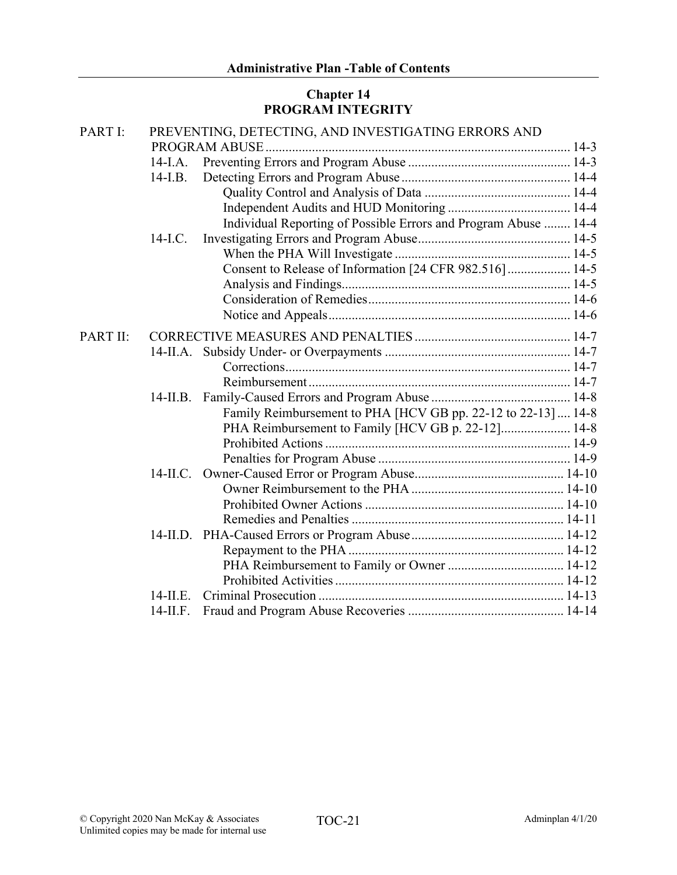## **Chapter 14 PROGRAM INTEGRITY**

| PART I:  |             | PREVENTING, DETECTING, AND INVESTIGATING ERRORS AND             |  |
|----------|-------------|-----------------------------------------------------------------|--|
|          |             |                                                                 |  |
|          | $14$ -I.A.  |                                                                 |  |
|          | $14$ -I.B.  |                                                                 |  |
|          |             |                                                                 |  |
|          |             |                                                                 |  |
|          |             | Individual Reporting of Possible Errors and Program Abuse  14-4 |  |
|          | $14$ -I.C.  |                                                                 |  |
|          |             |                                                                 |  |
|          |             | Consent to Release of Information [24 CFR 982.516]  14-5        |  |
|          |             |                                                                 |  |
|          |             |                                                                 |  |
|          |             |                                                                 |  |
| PART II: |             |                                                                 |  |
|          |             |                                                                 |  |
|          |             |                                                                 |  |
|          |             |                                                                 |  |
|          | 14-II.B.    |                                                                 |  |
|          |             | Family Reimbursement to PHA [HCV GB pp. 22-12 to 22-13]  14-8   |  |
|          |             | PHA Reimbursement to Family [HCV GB p. 22-12] 14-8              |  |
|          |             |                                                                 |  |
|          |             |                                                                 |  |
|          | $14$ -II.C. |                                                                 |  |
|          |             |                                                                 |  |
|          |             |                                                                 |  |
|          |             |                                                                 |  |
|          |             |                                                                 |  |
|          |             |                                                                 |  |
|          |             |                                                                 |  |
|          |             |                                                                 |  |
|          | $14$ -II.E. |                                                                 |  |
|          | $14$ -II.F. |                                                                 |  |
|          |             |                                                                 |  |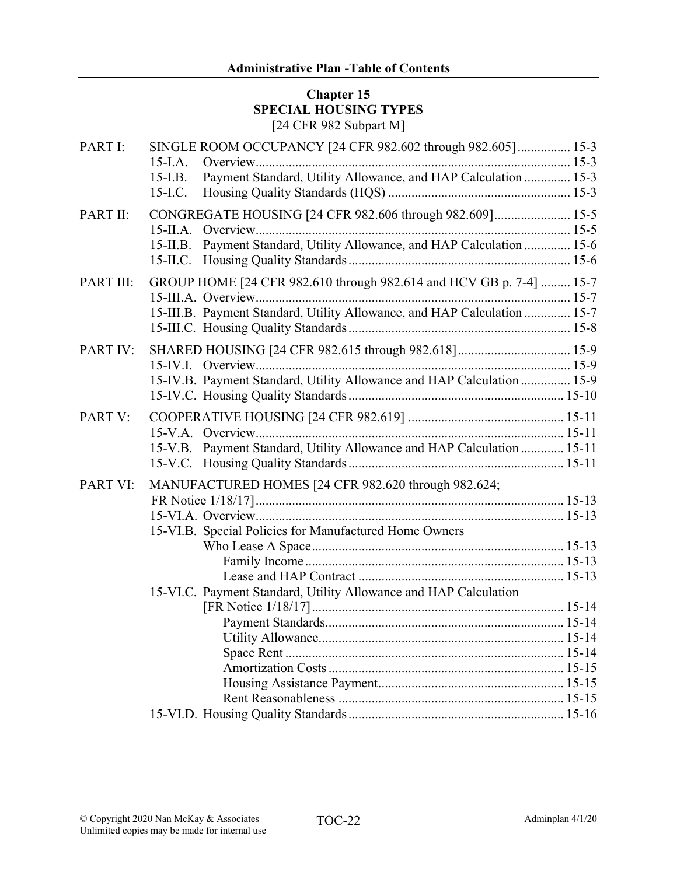### **Chapter 15 SPECIAL HOUSING TYPES** [24 CFR 982 Subpart M]

| PART I:   | SINGLE ROOM OCCUPANCY [24 CFR 982.602 through 982.605] 15-3<br>$15$ -I.A.                                                                 |  |
|-----------|-------------------------------------------------------------------------------------------------------------------------------------------|--|
|           | Payment Standard, Utility Allowance, and HAP Calculation  15-3<br>$15$ -I.B.<br>15-I.C.                                                   |  |
| PART II:  | CONGREGATE HOUSING [24 CFR 982.606 through 982.609] 15-5<br>Payment Standard, Utility Allowance, and HAP Calculation  15-6<br>$15$ -II.B. |  |
| PART III: | 15-II.C.<br>GROUP HOME [24 CFR 982.610 through 982.614 and HCV GB p. 7-4]  15-7                                                           |  |
|           | 15-III.B. Payment Standard, Utility Allowance, and HAP Calculation  15-7                                                                  |  |
| PART IV:  | SHARED HOUSING [24 CFR 982.615 through 982.618] 15-9<br>15-IV.B. Payment Standard, Utility Allowance and HAP Calculation  15-9            |  |
| PART V:   | 15-V.B. Payment Standard, Utility Allowance and HAP Calculation  15-11                                                                    |  |
| PART VI:  | MANUFACTURED HOMES [24 CFR 982.620 through 982.624;<br>15-VI.B. Special Policies for Manufactured Home Owners                             |  |
|           | 15-VI.C. Payment Standard, Utility Allowance and HAP Calculation                                                                          |  |
|           |                                                                                                                                           |  |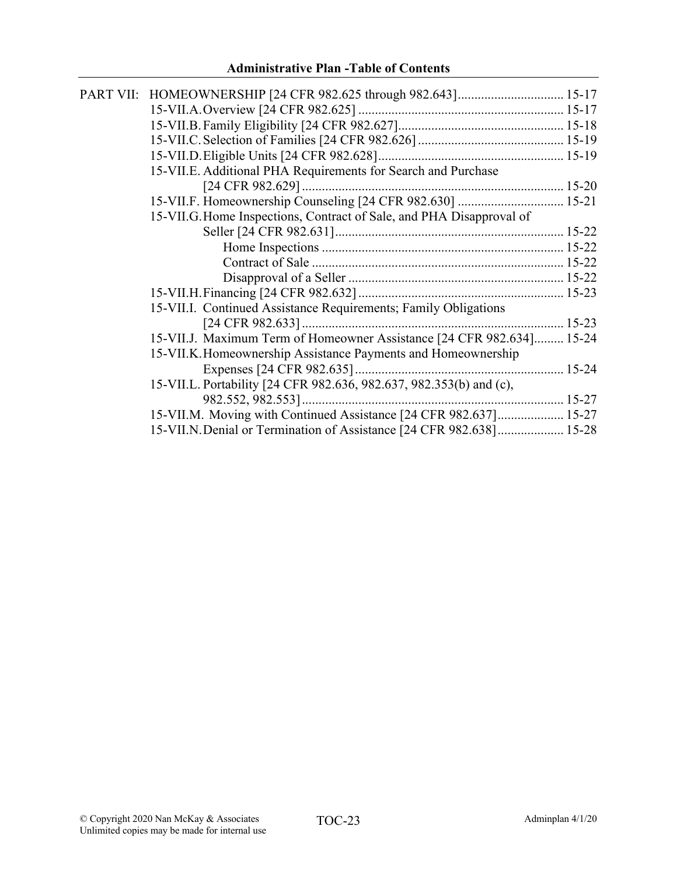| 15-VII.K. Homeownership Assistance Payments and Homeownership        |                                                                                                                                                                                                                                                                                                                                                                                                                        |
|----------------------------------------------------------------------|------------------------------------------------------------------------------------------------------------------------------------------------------------------------------------------------------------------------------------------------------------------------------------------------------------------------------------------------------------------------------------------------------------------------|
|                                                                      |                                                                                                                                                                                                                                                                                                                                                                                                                        |
|                                                                      |                                                                                                                                                                                                                                                                                                                                                                                                                        |
|                                                                      |                                                                                                                                                                                                                                                                                                                                                                                                                        |
| 15-VII.M. Moving with Continued Assistance [24 CFR 982.637] 15-27    |                                                                                                                                                                                                                                                                                                                                                                                                                        |
| 15-VII.N. Denial or Termination of Assistance [24 CFR 982.638] 15-28 |                                                                                                                                                                                                                                                                                                                                                                                                                        |
|                                                                      | 15-VII.E. Additional PHA Requirements for Search and Purchase<br>15-VII.F. Homeownership Counseling [24 CFR 982.630]  15-21<br>15-VII.G. Home Inspections, Contract of Sale, and PHA Disapproval of<br>15-VII.I. Continued Assistance Requirements; Family Obligations<br>15-VII.J. Maximum Term of Homeowner Assistance [24 CFR 982.634] 15-24<br>15-VII.L. Portability [24 CFR 982.636, 982.637, 982.353(b) and (c), |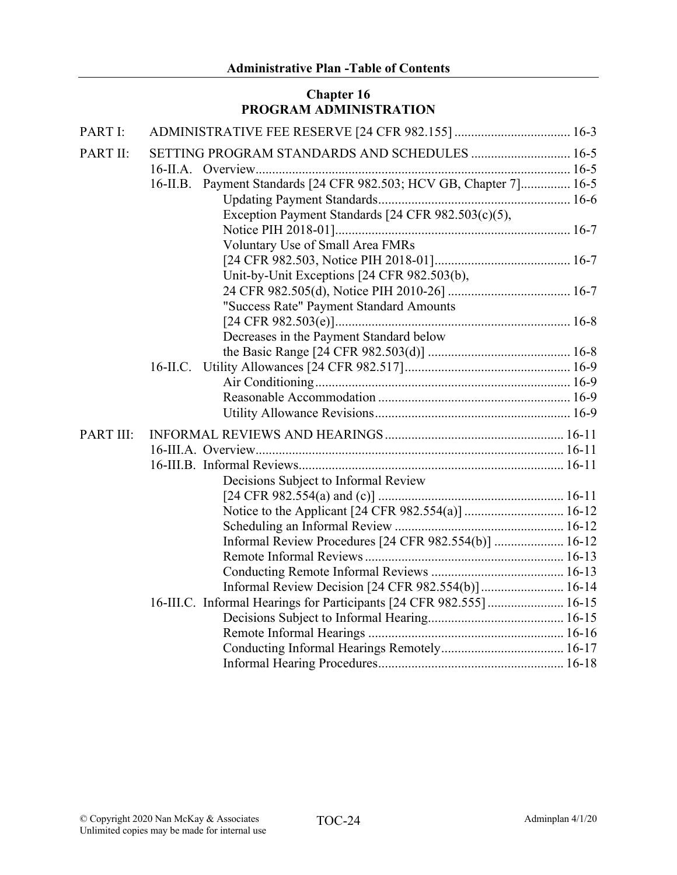## **Chapter 16 PROGRAM ADMINISTRATION**

| PART I:   |                                                                      |
|-----------|----------------------------------------------------------------------|
| PART II:  | SETTING PROGRAM STANDARDS AND SCHEDULES  16-5                        |
|           | $16$ -II.A.                                                          |
|           | 16-II.B. Payment Standards [24 CFR 982.503; HCV GB, Chapter 7] 16-5  |
|           |                                                                      |
|           | Exception Payment Standards [24 CFR 982.503(c)(5),                   |
|           |                                                                      |
|           | Voluntary Use of Small Area FMRs                                     |
|           |                                                                      |
|           | Unit-by-Unit Exceptions [24 CFR 982.503(b),                          |
|           |                                                                      |
|           | "Success Rate" Payment Standard Amounts                              |
|           |                                                                      |
|           | Decreases in the Payment Standard below                              |
|           |                                                                      |
|           | $16$ -II.C.                                                          |
|           |                                                                      |
|           |                                                                      |
|           |                                                                      |
| PART III: |                                                                      |
|           |                                                                      |
|           |                                                                      |
|           | Decisions Subject to Informal Review                                 |
|           |                                                                      |
|           |                                                                      |
|           |                                                                      |
|           | Informal Review Procedures [24 CFR 982.554(b)]  16-12                |
|           |                                                                      |
|           |                                                                      |
|           | Informal Review Decision [24 CFR 982.554(b)] 16-14                   |
|           | 16-III.C. Informal Hearings for Participants [24 CFR 982.555]  16-15 |
|           |                                                                      |
|           |                                                                      |
|           |                                                                      |
|           |                                                                      |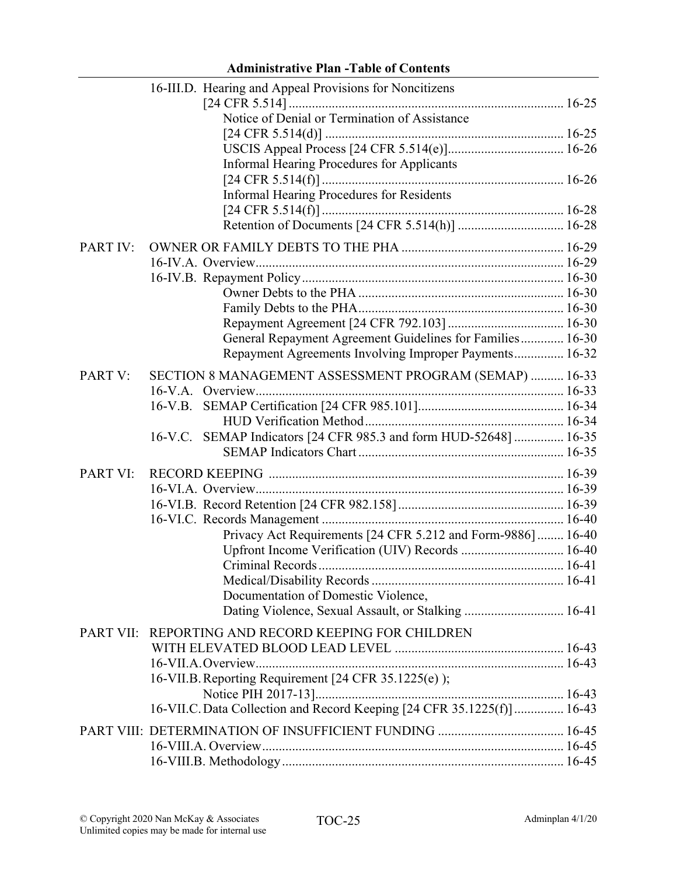|                 | 16-III.D. Hearing and Appeal Provisions for Noncitizens                |  |
|-----------------|------------------------------------------------------------------------|--|
|                 |                                                                        |  |
|                 | Notice of Denial or Termination of Assistance                          |  |
|                 |                                                                        |  |
|                 |                                                                        |  |
|                 | <b>Informal Hearing Procedures for Applicants</b>                      |  |
|                 |                                                                        |  |
|                 | <b>Informal Hearing Procedures for Residents</b>                       |  |
|                 |                                                                        |  |
|                 |                                                                        |  |
| <b>PART IV:</b> |                                                                        |  |
|                 |                                                                        |  |
|                 |                                                                        |  |
|                 |                                                                        |  |
|                 |                                                                        |  |
|                 |                                                                        |  |
|                 | General Repayment Agreement Guidelines for Families 16-30              |  |
|                 | Repayment Agreements Involving Improper Payments 16-32                 |  |
| PART V:         | SECTION 8 MANAGEMENT ASSESSMENT PROGRAM (SEMAP)  16-33                 |  |
|                 |                                                                        |  |
|                 | $16-V.B.$                                                              |  |
|                 |                                                                        |  |
|                 | 16-V.C. SEMAP Indicators [24 CFR 985.3 and form HUD-52648]  16-35      |  |
|                 |                                                                        |  |
| PART VI:        |                                                                        |  |
|                 |                                                                        |  |
|                 |                                                                        |  |
|                 |                                                                        |  |
|                 | Privacy Act Requirements [24 CFR 5.212 and Form-9886]  16-40           |  |
|                 | Upfront Income Verification (UIV) Records  16-40                       |  |
|                 |                                                                        |  |
|                 |                                                                        |  |
|                 | Documentation of Domestic Violence,                                    |  |
|                 | Dating Violence, Sexual Assault, or Stalking  16-41                    |  |
|                 | PART VII: REPORTING AND RECORD KEEPING FOR CHILDREN                    |  |
|                 |                                                                        |  |
|                 |                                                                        |  |
|                 | 16-VII.B. Reporting Requirement [24 CFR 35.1225(e) );                  |  |
|                 |                                                                        |  |
|                 | 16-VII.C. Data Collection and Record Keeping [24 CFR 35.1225(f)] 16-43 |  |
|                 |                                                                        |  |
|                 |                                                                        |  |
|                 |                                                                        |  |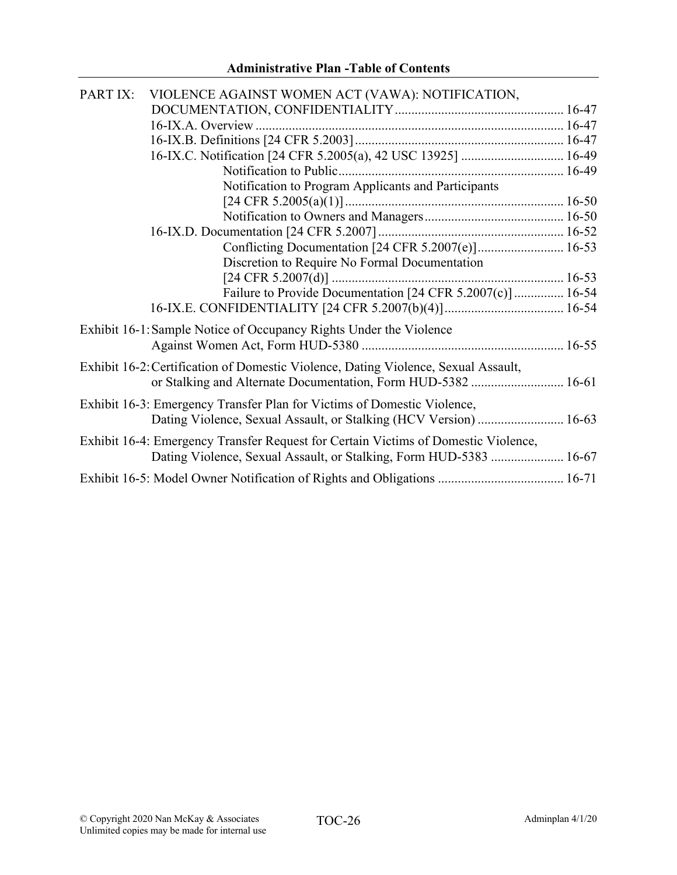| PART IX: | VIOLENCE AGAINST WOMEN ACT (VAWA): NOTIFICATION,                                   |  |
|----------|------------------------------------------------------------------------------------|--|
|          |                                                                                    |  |
|          |                                                                                    |  |
|          |                                                                                    |  |
|          | 16-IX.C. Notification [24 CFR 5.2005(a), 42 USC 13925]  16-49                      |  |
|          |                                                                                    |  |
|          | Notification to Program Applicants and Participants                                |  |
|          |                                                                                    |  |
|          |                                                                                    |  |
|          |                                                                                    |  |
|          | Conflicting Documentation [24 CFR 5.2007(e)] 16-53                                 |  |
|          | Discretion to Require No Formal Documentation                                      |  |
|          |                                                                                    |  |
|          | Failure to Provide Documentation [24 CFR 5.2007(c)]  16-54                         |  |
|          |                                                                                    |  |
|          | Exhibit 16-1: Sample Notice of Occupancy Rights Under the Violence                 |  |
|          |                                                                                    |  |
|          |                                                                                    |  |
|          | Exhibit 16-2: Certification of Domestic Violence, Dating Violence, Sexual Assault, |  |
|          | or Stalking and Alternate Documentation, Form HUD-5382  16-61                      |  |
|          | Exhibit 16-3: Emergency Transfer Plan for Victims of Domestic Violence,            |  |
|          | Dating Violence, Sexual Assault, or Stalking (HCV Version)  16-63                  |  |
|          | Exhibit 16-4: Emergency Transfer Request for Certain Victims of Domestic Violence, |  |
|          | Dating Violence, Sexual Assault, or Stalking, Form HUD-5383  16-67                 |  |
|          |                                                                                    |  |
|          |                                                                                    |  |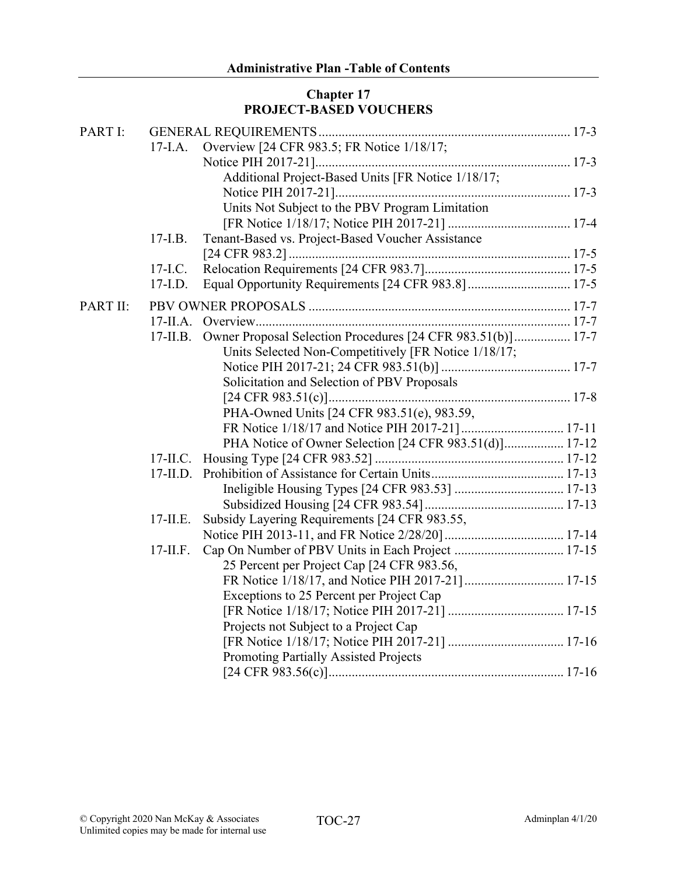## **Chapter 17 PROJECT-BASED VOUCHERS**

| PART I:  |             |                                                             |  |
|----------|-------------|-------------------------------------------------------------|--|
|          | $17$ -I.A.  | Overview [24 CFR 983.5; FR Notice 1/18/17;                  |  |
|          |             |                                                             |  |
|          |             | Additional Project-Based Units [FR Notice 1/18/17;          |  |
|          |             |                                                             |  |
|          |             | Units Not Subject to the PBV Program Limitation             |  |
|          |             |                                                             |  |
|          | $17-LB$ .   | Tenant-Based vs. Project-Based Voucher Assistance           |  |
|          |             |                                                             |  |
|          | $17-LC$ .   |                                                             |  |
|          | $17-L.D.$   |                                                             |  |
| PART II: |             |                                                             |  |
|          |             |                                                             |  |
|          | $17$ -II.B. | Owner Proposal Selection Procedures [24 CFR 983.51(b)] 17-7 |  |
|          |             | Units Selected Non-Competitively [FR Notice 1/18/17;        |  |
|          |             |                                                             |  |
|          |             | Solicitation and Selection of PBV Proposals                 |  |
|          |             |                                                             |  |
|          |             | PHA-Owned Units [24 CFR 983.51(e), 983.59,                  |  |
|          |             |                                                             |  |
|          |             | PHA Notice of Owner Selection [24 CFR 983.51(d)] 17-12      |  |
|          | $17$ -II.C. |                                                             |  |
|          | $17$ -II.D. |                                                             |  |
|          |             |                                                             |  |
|          |             |                                                             |  |
|          | $17$ -II.E. | Subsidy Layering Requirements [24 CFR 983.55,               |  |
|          |             |                                                             |  |
|          | $17$ -II.F. |                                                             |  |
|          |             | 25 Percent per Project Cap [24 CFR 983.56,                  |  |
|          |             |                                                             |  |
|          |             | Exceptions to 25 Percent per Project Cap                    |  |
|          |             |                                                             |  |
|          |             | Projects not Subject to a Project Cap                       |  |
|          |             |                                                             |  |
|          |             | Promoting Partially Assisted Projects                       |  |
|          |             |                                                             |  |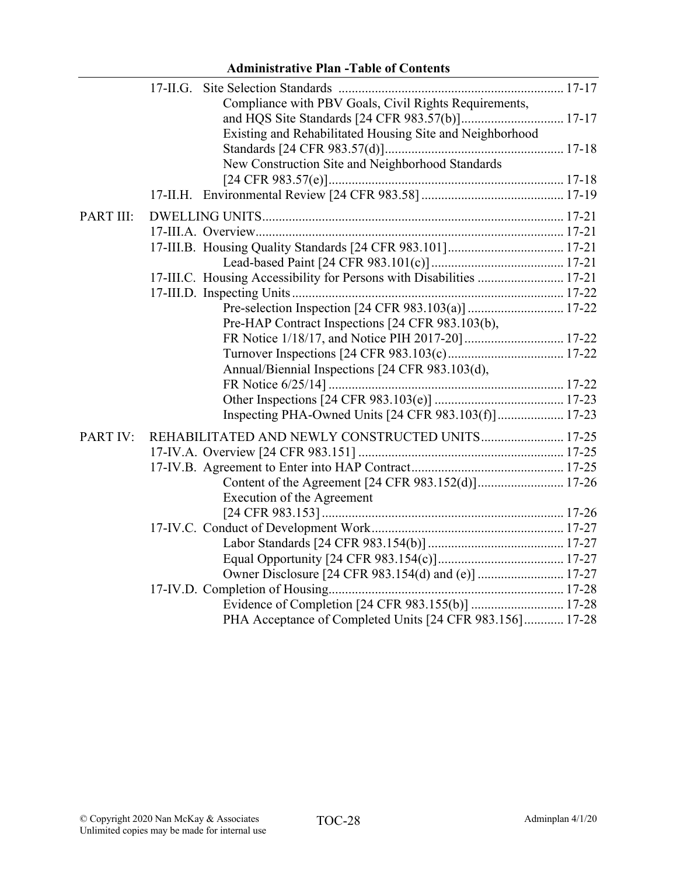|           | Compliance with PBV Goals, Civil Rights Requirements,                |  |
|-----------|----------------------------------------------------------------------|--|
|           |                                                                      |  |
|           | Existing and Rehabilitated Housing Site and Neighborhood             |  |
|           |                                                                      |  |
|           | New Construction Site and Neighborhood Standards                     |  |
|           |                                                                      |  |
|           |                                                                      |  |
| PART III: |                                                                      |  |
|           |                                                                      |  |
|           |                                                                      |  |
|           |                                                                      |  |
|           | 17-III.C. Housing Accessibility for Persons with Disabilities  17-21 |  |
|           |                                                                      |  |
|           |                                                                      |  |
|           | Pre-HAP Contract Inspections [24 CFR 983.103(b),                     |  |
|           |                                                                      |  |
|           |                                                                      |  |
|           | Annual/Biennial Inspections [24 CFR 983.103(d),                      |  |
|           |                                                                      |  |
|           |                                                                      |  |
|           | Inspecting PHA-Owned Units [24 CFR 983.103(f)] 17-23                 |  |
| PART IV:  | REHABILITATED AND NEWLY CONSTRUCTED UNITS 17-25                      |  |
|           |                                                                      |  |
|           |                                                                      |  |
|           |                                                                      |  |
|           | Execution of the Agreement                                           |  |
|           |                                                                      |  |
|           |                                                                      |  |
|           |                                                                      |  |
|           |                                                                      |  |
|           |                                                                      |  |
|           |                                                                      |  |
|           |                                                                      |  |
|           | PHA Acceptance of Completed Units [24 CFR 983.156] 17-28             |  |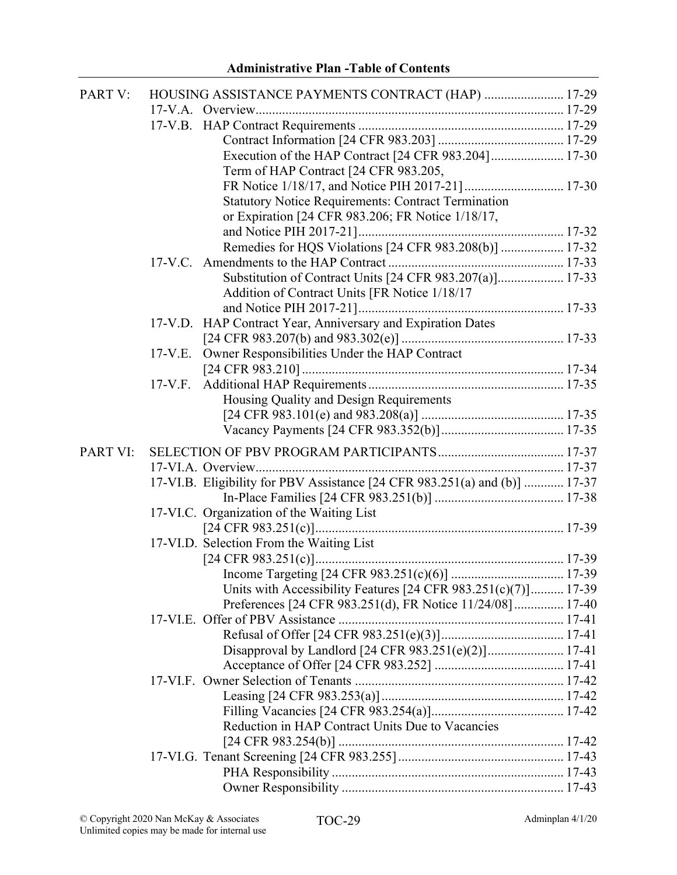| PART V:  | HOUSING ASSISTANCE PAYMENTS CONTRACT (HAP)  17-29                          |  |
|----------|----------------------------------------------------------------------------|--|
|          |                                                                            |  |
|          |                                                                            |  |
|          |                                                                            |  |
|          | Execution of the HAP Contract [24 CFR 983.204] 17-30                       |  |
|          | Term of HAP Contract [24 CFR 983.205,                                      |  |
|          |                                                                            |  |
|          | <b>Statutory Notice Requirements: Contract Termination</b>                 |  |
|          | or Expiration [24 CFR 983.206; FR Notice 1/18/17,                          |  |
|          |                                                                            |  |
|          | Remedies for HQS Violations [24 CFR 983.208(b)]  17-32                     |  |
|          |                                                                            |  |
|          | Substitution of Contract Units [24 CFR 983.207(a)] 17-33                   |  |
|          | Addition of Contract Units [FR Notice 1/18/17                              |  |
|          |                                                                            |  |
|          | 17-V.D. HAP Contract Year, Anniversary and Expiration Dates                |  |
|          |                                                                            |  |
|          | Owner Responsibilities Under the HAP Contract<br>$17-V.E.$                 |  |
|          |                                                                            |  |
|          | $17-V.F.$                                                                  |  |
|          | Housing Quality and Design Requirements                                    |  |
|          |                                                                            |  |
|          |                                                                            |  |
| PART VI: |                                                                            |  |
|          |                                                                            |  |
|          | 17-VI.B. Eligibility for PBV Assistance [24 CFR 983.251(a) and (b)]  17-37 |  |
|          |                                                                            |  |
|          | 17-VI.C. Organization of the Waiting List                                  |  |
|          |                                                                            |  |
|          | 17-VI.D. Selection From the Waiting List                                   |  |
|          |                                                                            |  |
|          |                                                                            |  |
|          | Units with Accessibility Features $[24 \text{ CFR } 983.251(c)(7)]$ 17-39  |  |
|          | Preferences [24 CFR 983.251(d), FR Notice 11/24/08] 17-40                  |  |
|          |                                                                            |  |
|          |                                                                            |  |
|          | Disapproval by Landlord [24 CFR 983.251(e)(2)] 17-41                       |  |
|          |                                                                            |  |
|          |                                                                            |  |
|          |                                                                            |  |
|          |                                                                            |  |
|          | Reduction in HAP Contract Units Due to Vacancies                           |  |
|          |                                                                            |  |
|          |                                                                            |  |
|          |                                                                            |  |
|          |                                                                            |  |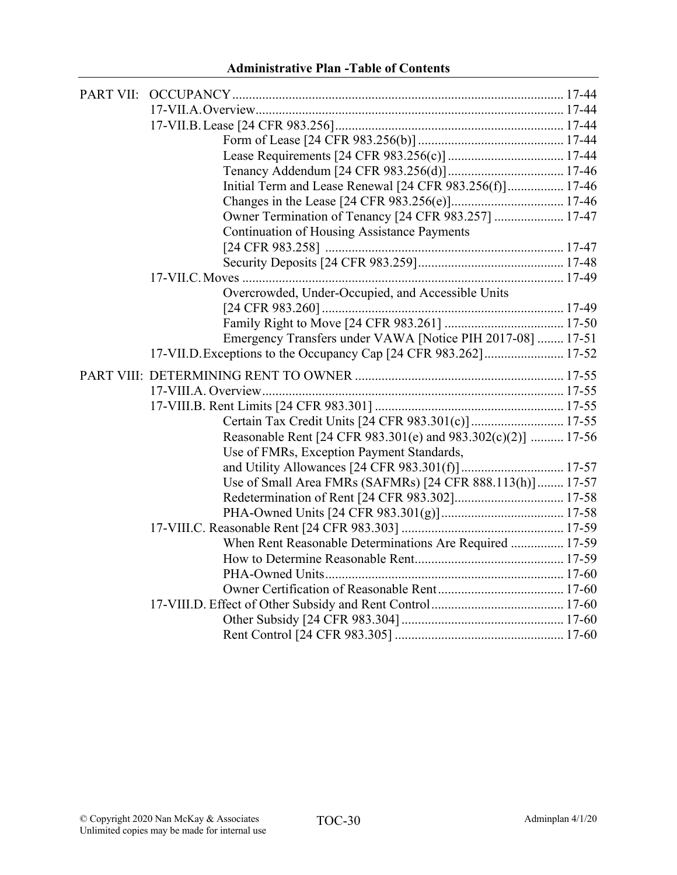| Initial Term and Lease Renewal [24 CFR 983.256(f)] 17-46         |
|------------------------------------------------------------------|
|                                                                  |
| Owner Termination of Tenancy [24 CFR 983.257]  17-47             |
| <b>Continuation of Housing Assistance Payments</b>               |
|                                                                  |
|                                                                  |
|                                                                  |
| Overcrowded, Under-Occupied, and Accessible Units                |
|                                                                  |
|                                                                  |
| Emergency Transfers under VAWA [Notice PIH 2017-08]  17-51       |
| 17-VII.D. Exceptions to the Occupancy Cap [24 CFR 983.262] 17-52 |
|                                                                  |
|                                                                  |
|                                                                  |
|                                                                  |
| Certain Tax Credit Units [24 CFR 983.301(c)] 17-55               |
|                                                                  |
| Reasonable Rent [24 CFR 983.301(e) and 983.302(c)(2)]  17-56     |
| Use of FMRs, Exception Payment Standards,                        |
|                                                                  |
| Use of Small Area FMRs (SAFMRs) [24 CFR 888.113(h)] 17-57        |
|                                                                  |
|                                                                  |
| When Rent Reasonable Determinations Are Required  17-59          |
|                                                                  |
|                                                                  |
|                                                                  |
|                                                                  |
|                                                                  |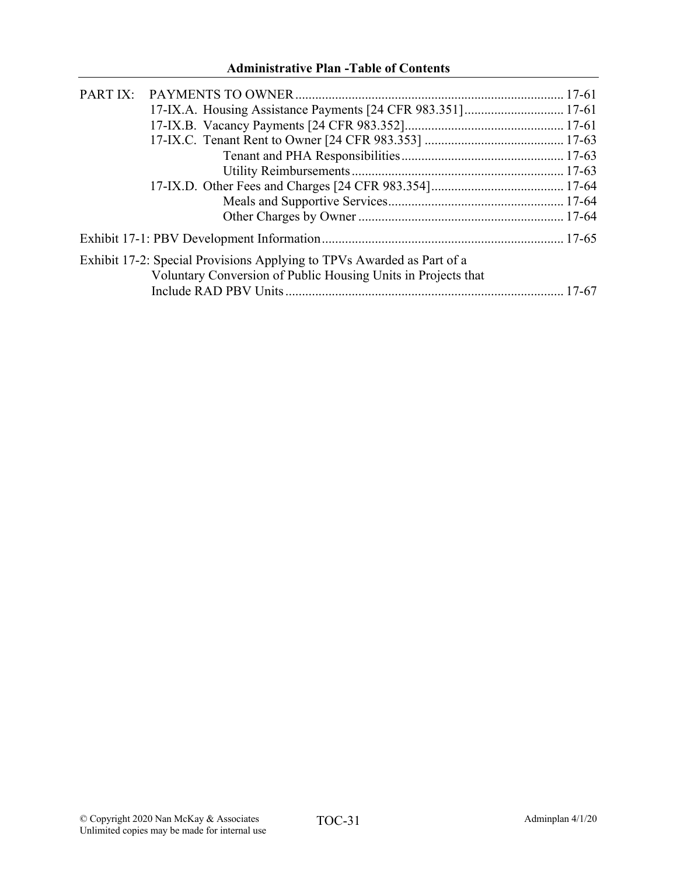| 17-IX.A. Housing Assistance Payments [24 CFR 983.351] 17-61            |  |
|------------------------------------------------------------------------|--|
|                                                                        |  |
|                                                                        |  |
|                                                                        |  |
|                                                                        |  |
|                                                                        |  |
|                                                                        |  |
|                                                                        |  |
|                                                                        |  |
| Exhibit 17-2: Special Provisions Applying to TPVs Awarded as Part of a |  |
| Voluntary Conversion of Public Housing Units in Projects that          |  |
|                                                                        |  |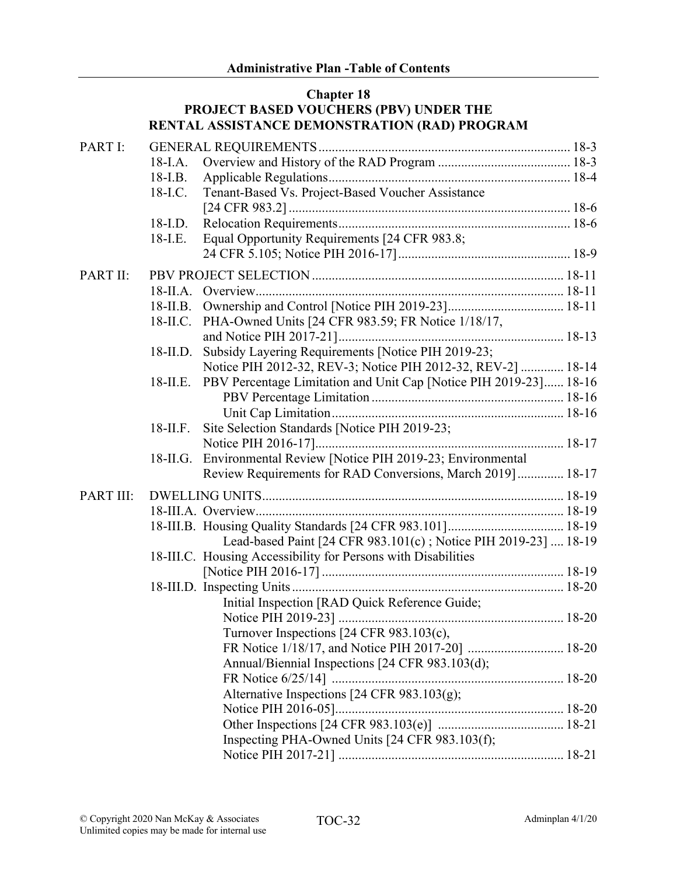#### **Chapter 18 PROJECT BASED VOUCHERS (PBV) UNDER THE RENTAL ASSISTANCE DEMONSTRATION (RAD) PROGRAM**

| PART I:   |             |                                                                   |  |
|-----------|-------------|-------------------------------------------------------------------|--|
|           | $18$ -I.A.  |                                                                   |  |
|           | $18-I.B.$   |                                                                   |  |
|           | 18-I.C.     | Tenant-Based Vs. Project-Based Voucher Assistance                 |  |
|           |             |                                                                   |  |
|           | 18-I.D.     |                                                                   |  |
|           | 18-I.E.     | Equal Opportunity Requirements [24 CFR 983.8;                     |  |
|           |             |                                                                   |  |
| PART II:  |             |                                                                   |  |
|           | $18$ -II.A. |                                                                   |  |
|           | $18$ -II.B. |                                                                   |  |
|           | $18$ -II.C. | PHA-Owned Units [24 CFR 983.59; FR Notice 1/18/17,                |  |
|           |             |                                                                   |  |
|           | $18$ -II.D. | Subsidy Layering Requirements [Notice PIH 2019-23;                |  |
|           |             | Notice PIH 2012-32, REV-3; Notice PIH 2012-32, REV-2]  18-14      |  |
|           | $18$ -II.E. | PBV Percentage Limitation and Unit Cap [Notice PIH 2019-23] 18-16 |  |
|           |             |                                                                   |  |
|           |             |                                                                   |  |
|           | $18$ -II.F. | Site Selection Standards [Notice PIH 2019-23;                     |  |
|           |             |                                                                   |  |
|           | 18-II.G.    | Environmental Review [Notice PIH 2019-23; Environmental           |  |
|           |             | Review Requirements for RAD Conversions, March 2019]  18-17       |  |
| PART III: |             |                                                                   |  |
|           |             |                                                                   |  |
|           |             |                                                                   |  |
|           |             | Lead-based Paint [24 CFR 983.101(c); Notice PIH 2019-23]  18-19   |  |
|           |             | 18-III.C. Housing Accessibility for Persons with Disabilities     |  |
|           |             |                                                                   |  |
|           |             |                                                                   |  |
|           |             | Initial Inspection [RAD Quick Reference Guide;                    |  |
|           |             |                                                                   |  |
|           |             | Turnover Inspections [24 CFR 983.103(c),                          |  |
|           |             |                                                                   |  |
|           |             | Annual/Biennial Inspections [24 CFR 983.103(d);                   |  |
|           |             |                                                                   |  |
|           |             | Alternative Inspections [24 CFR 983.103(g);                       |  |
|           |             |                                                                   |  |
|           |             |                                                                   |  |
|           |             | Inspecting PHA-Owned Units [24 CFR 983.103(f);                    |  |
|           |             |                                                                   |  |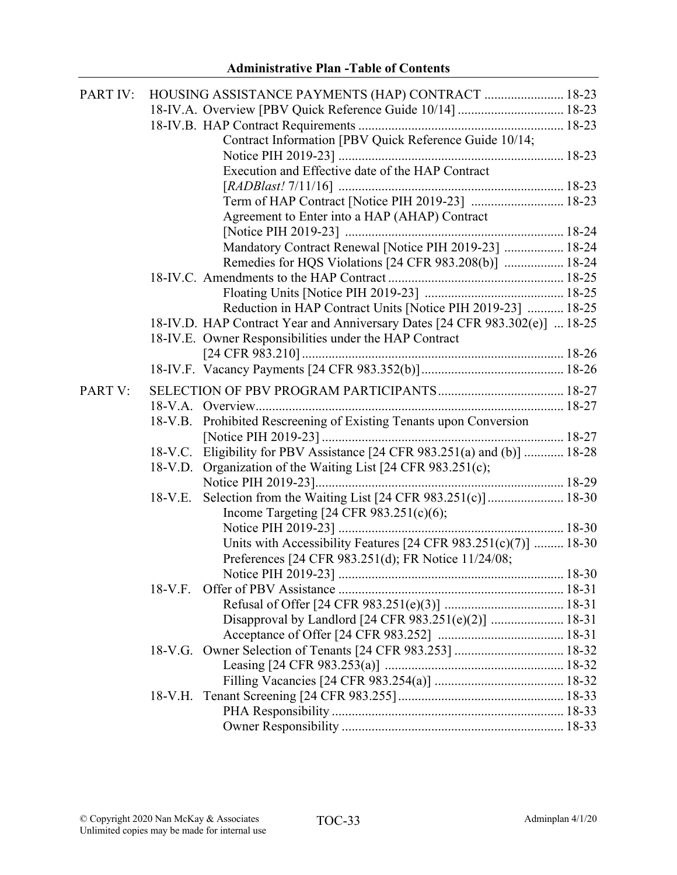| PART IV: |           | HOUSING ASSISTANCE PAYMENTS (HAP) CONTRACT  18-23                           |  |
|----------|-----------|-----------------------------------------------------------------------------|--|
|          |           | 18-IV.A. Overview [PBV Quick Reference Guide 10/14]  18-23                  |  |
|          |           |                                                                             |  |
|          |           | Contract Information [PBV Quick Reference Guide 10/14;                      |  |
|          |           |                                                                             |  |
|          |           | Execution and Effective date of the HAP Contract                            |  |
|          |           |                                                                             |  |
|          |           | Term of HAP Contract [Notice PIH 2019-23]  18-23                            |  |
|          |           | Agreement to Enter into a HAP (AHAP) Contract                               |  |
|          |           |                                                                             |  |
|          |           | Mandatory Contract Renewal [Notice PIH 2019-23]  18-24                      |  |
|          |           | Remedies for HQS Violations [24 CFR 983.208(b)]  18-24                      |  |
|          |           |                                                                             |  |
|          |           |                                                                             |  |
|          |           | Reduction in HAP Contract Units [Notice PIH 2019-23]  18-25                 |  |
|          |           | 18-IV.D. HAP Contract Year and Anniversary Dates [24 CFR 983.302(e)]  18-25 |  |
|          |           | 18-IV.E. Owner Responsibilities under the HAP Contract                      |  |
|          |           |                                                                             |  |
|          |           |                                                                             |  |
|          |           |                                                                             |  |
| PART V:  |           |                                                                             |  |
|          |           |                                                                             |  |
|          |           | 18-V.B. Prohibited Rescreening of Existing Tenants upon Conversion          |  |
|          |           |                                                                             |  |
|          |           | 18-V.C. Eligibility for PBV Assistance [24 CFR 983.251(a) and (b)]  18-28   |  |
|          | $18-V.D.$ | Organization of the Waiting List [24 CFR 983.251(c);                        |  |
|          |           |                                                                             |  |
|          | 18-V.E.   | Selection from the Waiting List [24 CFR 983.251(c)] 18-30                   |  |
|          |           | Income Targeting [24 CFR $983.251(c)(6)$ ;                                  |  |
|          |           |                                                                             |  |
|          |           | Units with Accessibility Features $[24 \text{ CFR } 983.251(c)(7)]$ 18-30   |  |
|          |           | Preferences [24 CFR 983.251(d); FR Notice 11/24/08;                         |  |
|          |           |                                                                             |  |
|          |           |                                                                             |  |
|          |           |                                                                             |  |
|          |           | Disapproval by Landlord [24 CFR 983.251(e)(2)]  18-31                       |  |
|          |           |                                                                             |  |
|          |           |                                                                             |  |
|          |           |                                                                             |  |
|          |           |                                                                             |  |
|          |           |                                                                             |  |
|          |           |                                                                             |  |
|          |           |                                                                             |  |
|          |           |                                                                             |  |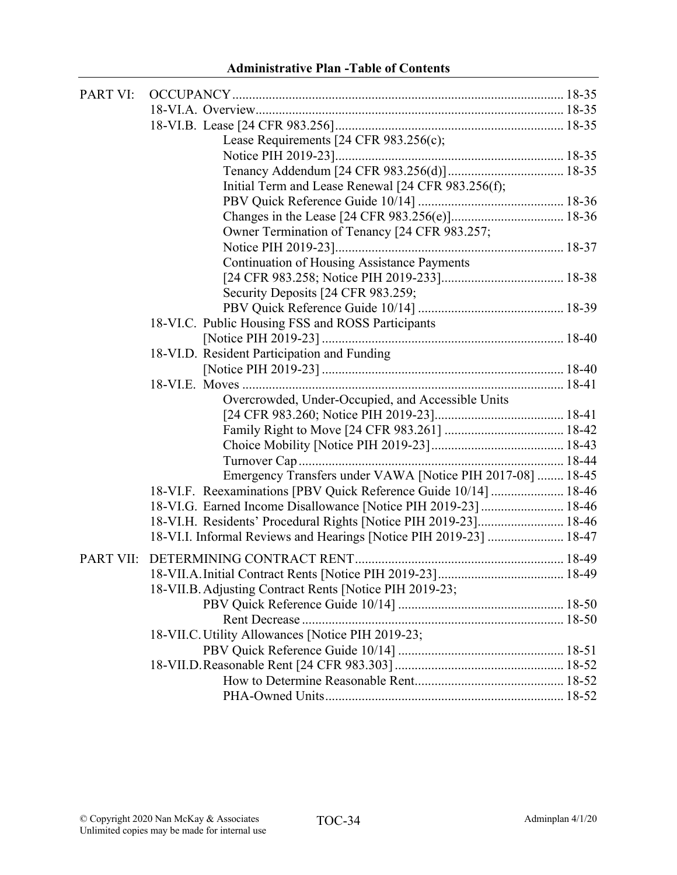| <b>PART VI:</b>  |                                                                    |  |
|------------------|--------------------------------------------------------------------|--|
|                  |                                                                    |  |
|                  |                                                                    |  |
|                  | Lease Requirements [24 CFR 983.256(c);                             |  |
|                  |                                                                    |  |
|                  |                                                                    |  |
|                  | Initial Term and Lease Renewal [24 CFR 983.256(f);                 |  |
|                  |                                                                    |  |
|                  |                                                                    |  |
|                  | Owner Termination of Tenancy [24 CFR 983.257;                      |  |
|                  |                                                                    |  |
|                  | <b>Continuation of Housing Assistance Payments</b>                 |  |
|                  |                                                                    |  |
|                  | Security Deposits [24 CFR 983.259;                                 |  |
|                  |                                                                    |  |
|                  | 18-VI.C. Public Housing FSS and ROSS Participants                  |  |
|                  |                                                                    |  |
|                  | 18-VI.D. Resident Participation and Funding                        |  |
|                  |                                                                    |  |
|                  |                                                                    |  |
|                  | Overcrowded, Under-Occupied, and Accessible Units                  |  |
|                  |                                                                    |  |
|                  |                                                                    |  |
|                  |                                                                    |  |
|                  |                                                                    |  |
|                  | Emergency Transfers under VAWA [Notice PIH 2017-08]  18-45         |  |
|                  | 18-VI.F. Reexaminations [PBV Quick Reference Guide 10/14]  18-46   |  |
|                  | 18-VI.G. Earned Income Disallowance [Notice PIH 2019-23]  18-46    |  |
|                  | 18-VI.H. Residents' Procedural Rights [Notice PIH 2019-23] 18-46   |  |
|                  | 18-VI.I. Informal Reviews and Hearings [Notice PIH 2019-23]  18-47 |  |
| <b>PART VII:</b> |                                                                    |  |
|                  |                                                                    |  |
|                  | 18-VII.B. Adjusting Contract Rents [Notice PIH 2019-23;            |  |
|                  |                                                                    |  |
|                  |                                                                    |  |
|                  | 18-VII.C. Utility Allowances [Notice PIH 2019-23;                  |  |
|                  |                                                                    |  |
|                  |                                                                    |  |
|                  |                                                                    |  |
|                  |                                                                    |  |